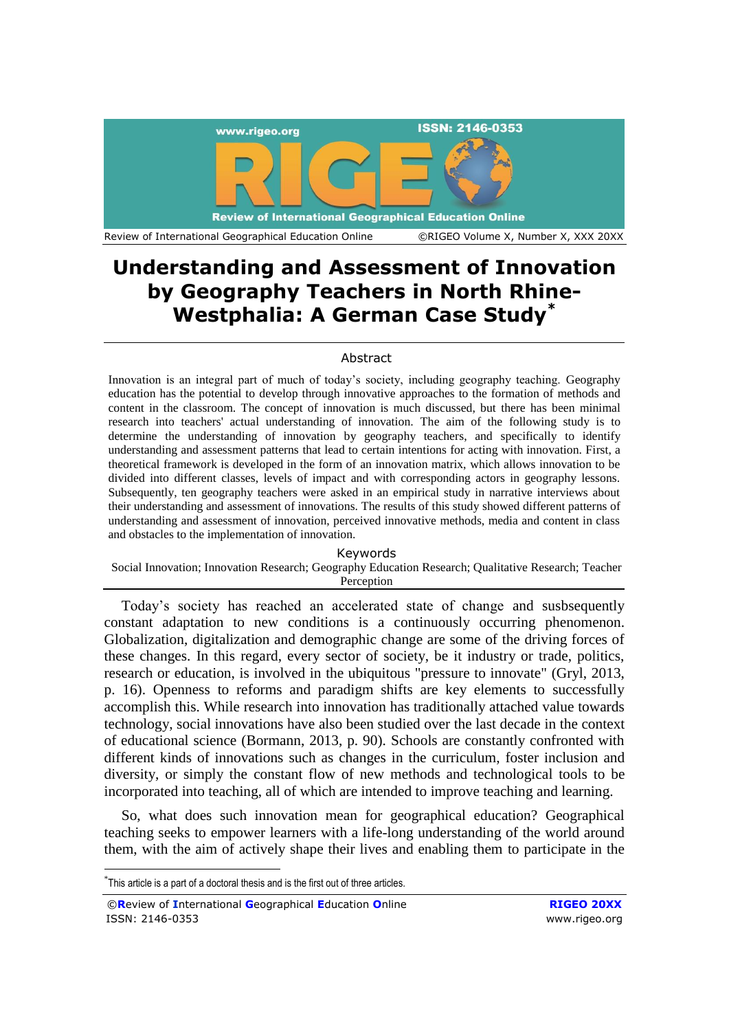

# **Understanding and Assessment of Innovation by Geography Teachers in North Rhine-Westphalia: A German Case Study\***

## Abstract

Innovation is an integral part of much of today's society, including geography teaching. Geography education has the potential to develop through innovative approaches to the formation of methods and content in the classroom. The concept of innovation is much discussed, but there has been minimal research into teachers' actual understanding of innovation. The aim of the following study is to determine the understanding of innovation by geography teachers, and specifically to identify understanding and assessment patterns that lead to certain intentions for acting with innovation. First, a theoretical framework is developed in the form of an innovation matrix, which allows innovation to be divided into different classes, levels of impact and with corresponding actors in geography lessons. Subsequently, ten geography teachers were asked in an empirical study in narrative interviews about their understanding and assessment of innovations. The results of this study showed different patterns of understanding and assessment of innovation, perceived innovative methods, media and content in class and obstacles to the implementation of innovation.

Keywords

Social Innovation; Innovation Research; Geography Education Research; Qualitative Research; Teacher Perception

Today's society has reached an accelerated state of change and susbsequently constant adaptation to new conditions is a continuously occurring phenomenon. Globalization, digitalization and demographic change are some of the driving forces of these changes. In this regard, every sector of society, be it industry or trade, politics, research or education, is involved in the ubiquitous "pressure to innovate" (Gryl, 2013, p. 16). Openness to reforms and paradigm shifts are key elements to successfully accomplish this. While research into innovation has traditionally attached value towards technology, social innovations have also been studied over the last decade in the context of educational science (Bormann, 2013, p. 90). Schools are constantly confronted with different kinds of innovations such as changes in the curriculum, foster inclusion and diversity, or simply the constant flow of new methods and technological tools to be incorporated into teaching, all of which are intended to improve teaching and learning.

So, what does such innovation mean for geographical education? Geographical teaching seeks to empower learners with a life-long understanding of the world around them, with the aim of actively shape their lives and enabling them to participate in the

1

<sup>\*</sup> This article is a part of a doctoral thesis and is the first out of three articles.

<sup>©</sup>**R**eview of **I**nternational **G**eographical **E**ducation **O**nline **RIGEO 20XX** ISSN: 2146-0353 www.rigeo.org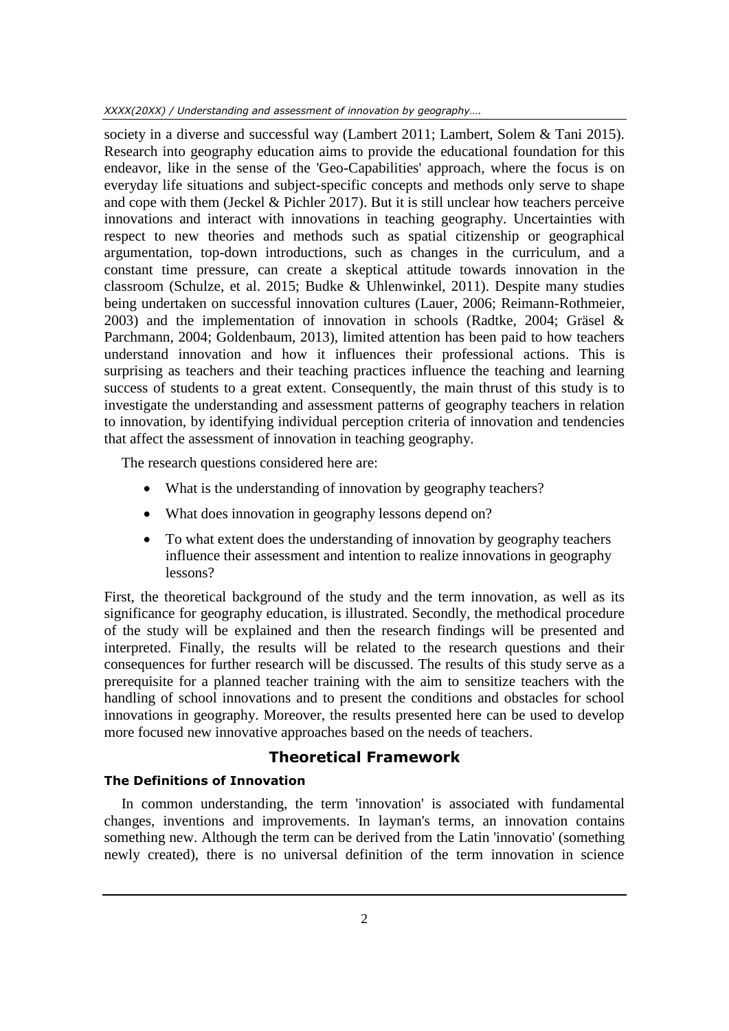society in a diverse and successful way (Lambert 2011; Lambert, Solem & Tani 2015). Research into geography education aims to provide the educational foundation for this endeavor, like in the sense of the 'Geo-Capabilities' approach, where the focus is on everyday life situations and subject-specific concepts and methods only serve to shape and cope with them (Jeckel & Pichler 2017). But it is still unclear how teachers perceive innovations and interact with innovations in teaching geography. Uncertainties with respect to new theories and methods such as spatial citizenship or geographical argumentation, top-down introductions, such as changes in the curriculum, and a constant time pressure, can create a skeptical attitude towards innovation in the classroom (Schulze, et al. 2015; Budke & Uhlenwinkel, 2011). Despite many studies being undertaken on successful innovation cultures (Lauer, 2006; Reimann-Rothmeier, 2003) and the implementation of innovation in schools (Radtke, 2004; Gräsel & Parchmann, 2004; Goldenbaum, 2013), limited attention has been paid to how teachers understand innovation and how it influences their professional actions. This is surprising as teachers and their teaching practices influence the teaching and learning success of students to a great extent. Consequently, the main thrust of this study is to investigate the understanding and assessment patterns of geography teachers in relation to innovation, by identifying individual perception criteria of innovation and tendencies that affect the assessment of innovation in teaching geography.

The research questions considered here are:

- What is the understanding of innovation by geography teachers?
- What does innovation in geography lessons depend on?
- To what extent does the understanding of innovation by geography teachers influence their assessment and intention to realize innovations in geography lessons?

First, the theoretical background of the study and the term innovation, as well as its significance for geography education, is illustrated. Secondly, the methodical procedure of the study will be explained and then the research findings will be presented and interpreted. Finally, the results will be related to the research questions and their consequences for further research will be discussed. The results of this study serve as a prerequisite for a planned teacher training with the aim to sensitize teachers with the handling of school innovations and to present the conditions and obstacles for school innovations in geography. Moreover, the results presented here can be used to develop more focused new innovative approaches based on the needs of teachers.

# **Theoretical Framework**

## **The Definitions of Innovation**

In common understanding, the term 'innovation' is associated with fundamental changes, inventions and improvements. In layman's terms, an innovation contains something new. Although the term can be derived from the Latin 'innovatio' (something newly created), there is no universal definition of the term innovation in science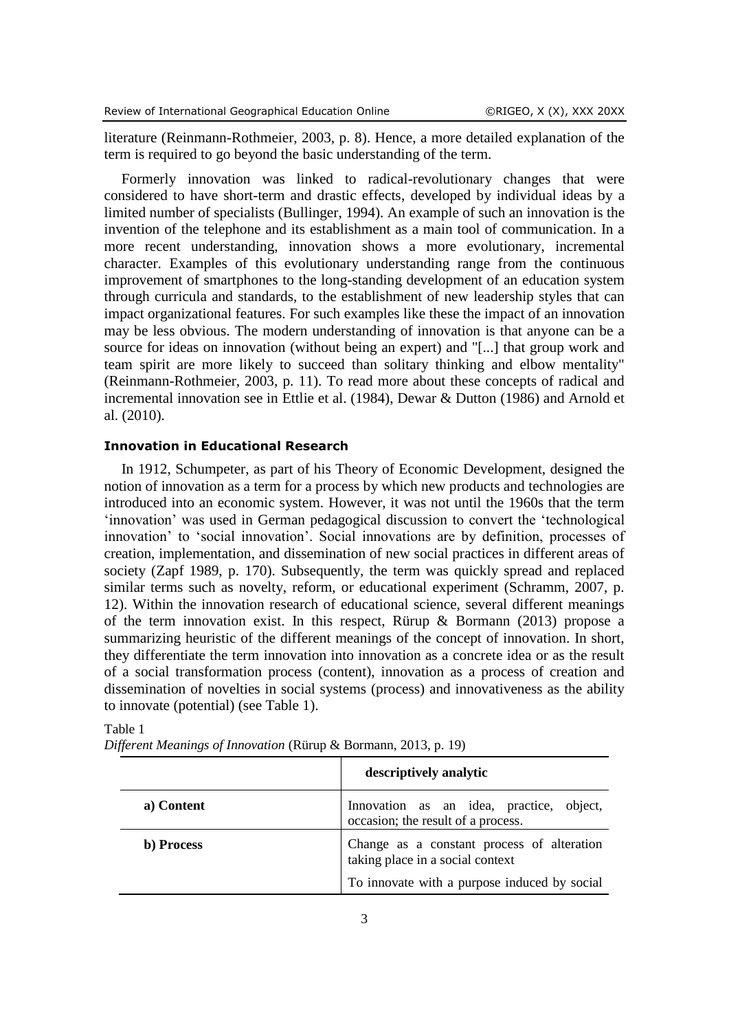literature (Reinmann-Rothmeier, 2003, p. 8). Hence, a more detailed explanation of the term is required to go beyond the basic understanding of the term.

Formerly innovation was linked to radical-revolutionary changes that were considered to have short-term and drastic effects, developed by individual ideas by a limited number of specialists (Bullinger, 1994). An example of such an innovation is the invention of the telephone and its establishment as a main tool of communication. In a more recent understanding, innovation shows a more evolutionary, incremental character. Examples of this evolutionary understanding range from the continuous improvement of smartphones to the long-standing development of an education system through curricula and standards, to the establishment of new leadership styles that can impact organizational features. For such examples like these the impact of an innovation may be less obvious. The modern understanding of innovation is that anyone can be a source for ideas on innovation (without being an expert) and "[...] that group work and team spirit are more likely to succeed than solitary thinking and elbow mentality" (Reinmann-Rothmeier, 2003, p. 11). To read more about these concepts of radical and incremental innovation see in Ettlie et al. (1984), Dewar & Dutton (1986) and Arnold et al. (2010).

#### **Innovation in Educational Research**

In 1912, Schumpeter, as part of his Theory of Economic Development, designed the notion of innovation as a term for a process by which new products and technologies are introduced into an economic system. However, it was not until the 1960s that the term 'innovation' was used in German pedagogical discussion to convert the 'technological innovation' to 'social innovation'. Social innovations are by definition, processes of creation, implementation, and dissemination of new social practices in different areas of society (Zapf 1989, p. 170). Subsequently, the term was quickly spread and replaced similar terms such as novelty, reform, or educational experiment (Schramm, 2007, p. 12). Within the innovation research of educational science, several different meanings of the term innovation exist. In this respect, Rürup & Bormann (2013) propose a summarizing heuristic of the different meanings of the concept of innovation. In short, they differentiate the term innovation into innovation as a concrete idea or as the result of a social transformation process (content), innovation as a process of creation and dissemination of novelties in social systems (process) and innovativeness as the ability to innovate (potential) (see Table 1).

|            | descriptively analytic                                                         |  |
|------------|--------------------------------------------------------------------------------|--|
| a) Content | Innovation as an idea, practice, object,<br>occasion; the result of a process. |  |
| b) Process | Change as a constant process of alteration<br>taking place in a social context |  |
|            | To innovate with a purpose induced by social                                   |  |

| anı |  |
|-----|--|
|-----|--|

|  |  | Different Meanings of Innovation (Rürup & Bormann, 2013, p. 19) |  |
|--|--|-----------------------------------------------------------------|--|
|--|--|-----------------------------------------------------------------|--|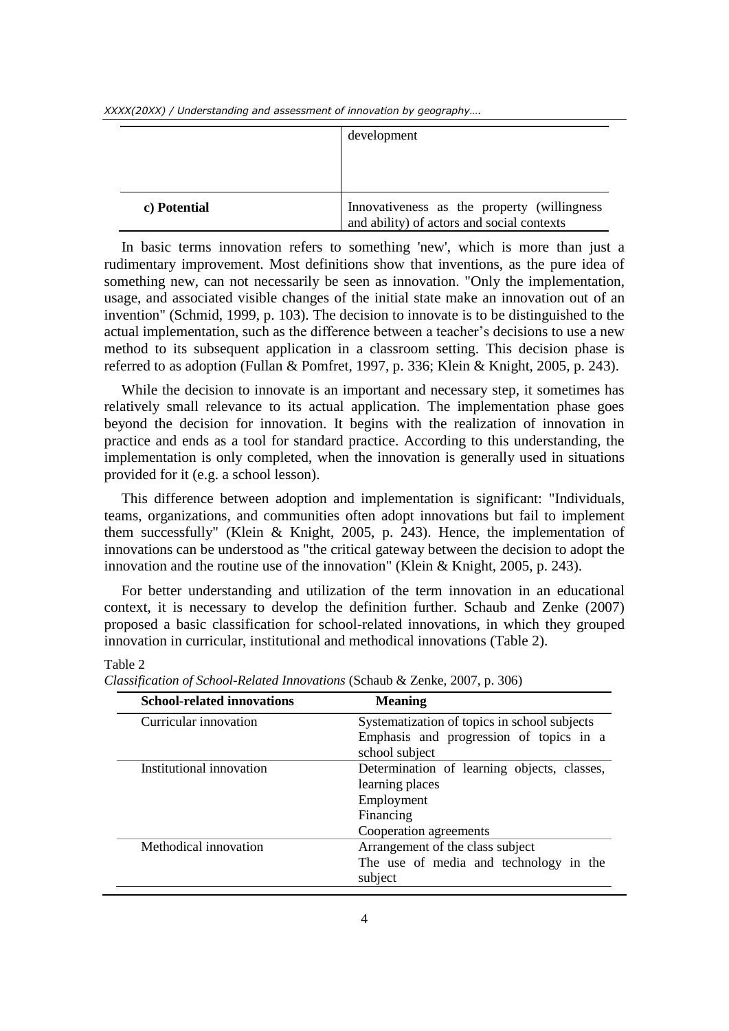*XXXX(20XX) / Understanding and assessment of innovation by geography….*

|              | development                                                                                |
|--------------|--------------------------------------------------------------------------------------------|
| c) Potential | Innovativeness as the property (willingness)<br>and ability) of actors and social contexts |

In basic terms innovation refers to something 'new', which is more than just a rudimentary improvement. Most definitions show that inventions, as the pure idea of something new, can not necessarily be seen as innovation. "Only the implementation, usage, and associated visible changes of the initial state make an innovation out of an invention" (Schmid, 1999, p. 103). The decision to innovate is to be distinguished to the actual implementation, such as the difference between a teacher's decisions to use a new method to its subsequent application in a classroom setting. This decision phase is referred to as adoption (Fullan & Pomfret, 1997, p. 336; Klein & Knight, 2005, p. 243).

While the decision to innovate is an important and necessary step, it sometimes has relatively small relevance to its actual application. The implementation phase goes beyond the decision for innovation. It begins with the realization of innovation in practice and ends as a tool for standard practice. According to this understanding, the implementation is only completed, when the innovation is generally used in situations provided for it (e.g. a school lesson).

This difference between adoption and implementation is significant: "Individuals, teams, organizations, and communities often adopt innovations but fail to implement them successfully" (Klein & Knight, 2005, p. 243). Hence, the implementation of innovations can be understood as "the critical gateway between the decision to adopt the innovation and the routine use of the innovation" (Klein & Knight, 2005, p. 243).

For better understanding and utilization of the term innovation in an educational context, it is necessary to develop the definition further. Schaub and Zenke (2007) proposed a basic classification for school-related innovations, in which they grouped innovation in curricular, institutional and methodical innovations (Table 2).

## Table 2

| <b>School-related innovations</b> | <b>Meaning</b>                               |
|-----------------------------------|----------------------------------------------|
| Curricular innovation             | Systematization of topics in school subjects |
|                                   | Emphasis and progression of topics in a      |
|                                   | school subject                               |
| Institutional innovation          | Determination of learning objects, classes,  |
|                                   | learning places                              |
|                                   | Employment                                   |
|                                   | Financing                                    |
|                                   | Cooperation agreements                       |
| Methodical innovation             | Arrangement of the class subject             |
|                                   | The use of media and technology in the       |
|                                   | subject                                      |

*Classification of School-Related Innovations* (Schaub & Zenke, 2007, p. 306)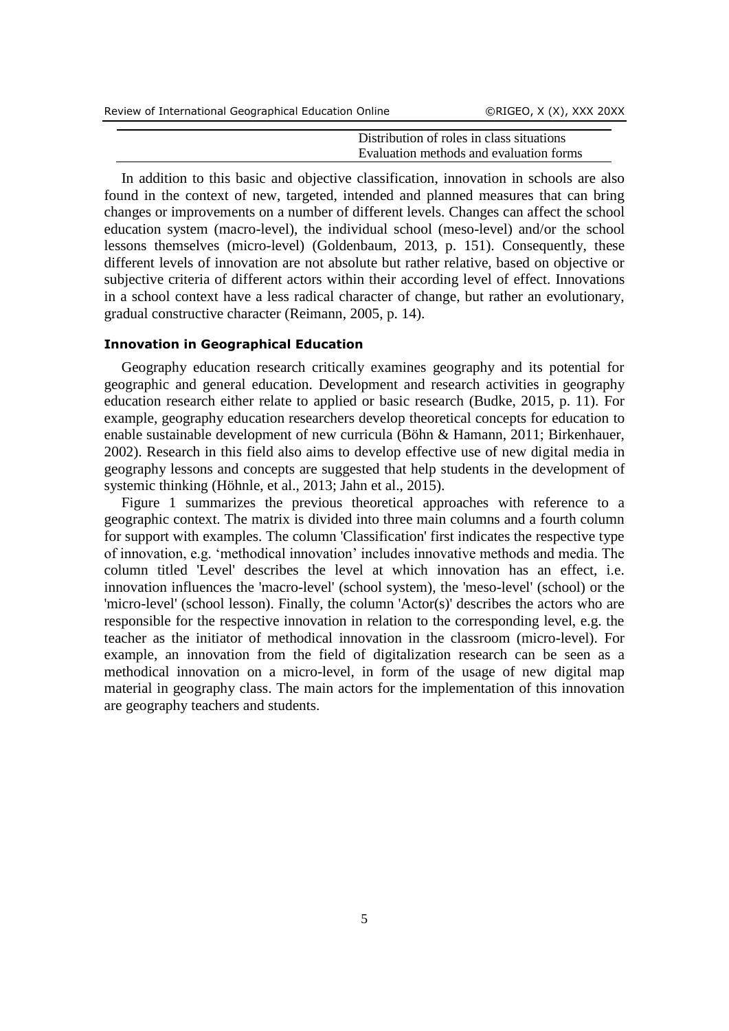| Review of International Geographical Education Online |                                           | ORIGEO, X (X), XXX 20XX |
|-------------------------------------------------------|-------------------------------------------|-------------------------|
|                                                       |                                           |                         |
|                                                       | Distribution of roles in class situations |                         |
|                                                       | Evaluation methods and evaluation forms   |                         |

In addition to this basic and objective classification, innovation in schools are also found in the context of new, targeted, intended and planned measures that can bring changes or improvements on a number of different levels. Changes can affect the school education system (macro-level), the individual school (meso-level) and/or the school lessons themselves (micro-level) (Goldenbaum, 2013, p. 151). Consequently, these different levels of innovation are not absolute but rather relative, based on objective or subjective criteria of different actors within their according level of effect. Innovations in a school context have a less radical character of change, but rather an evolutionary, gradual constructive character (Reimann, 2005, p. 14).

### **Innovation in Geographical Education**

Geography education research critically examines geography and its potential for geographic and general education. Development and research activities in geography education research either relate to applied or basic research (Budke, 2015, p. 11). For example, geography education researchers develop theoretical concepts for education to enable sustainable development of new curricula (Böhn & Hamann, 2011; Birkenhauer, 2002). Research in this field also aims to develop effective use of new digital media in geography lessons and concepts are suggested that help students in the development of systemic thinking (Höhnle, et al., 2013; Jahn et al., 2015).

Figure 1 summarizes the previous theoretical approaches with reference to a geographic context. The matrix is divided into three main columns and a fourth column for support with examples. The column 'Classification' first indicates the respective type of innovation, e.g. 'methodical innovation' includes innovative methods and media. The column titled 'Level' describes the level at which innovation has an effect, i.e. innovation influences the 'macro-level' (school system), the 'meso-level' (school) or the 'micro-level' (school lesson). Finally, the column 'Actor(s)' describes the actors who are responsible for the respective innovation in relation to the corresponding level, e.g. the teacher as the initiator of methodical innovation in the classroom (micro-level). For example, an innovation from the field of digitalization research can be seen as a methodical innovation on a micro-level, in form of the usage of new digital map material in geography class. The main actors for the implementation of this innovation are geography teachers and students.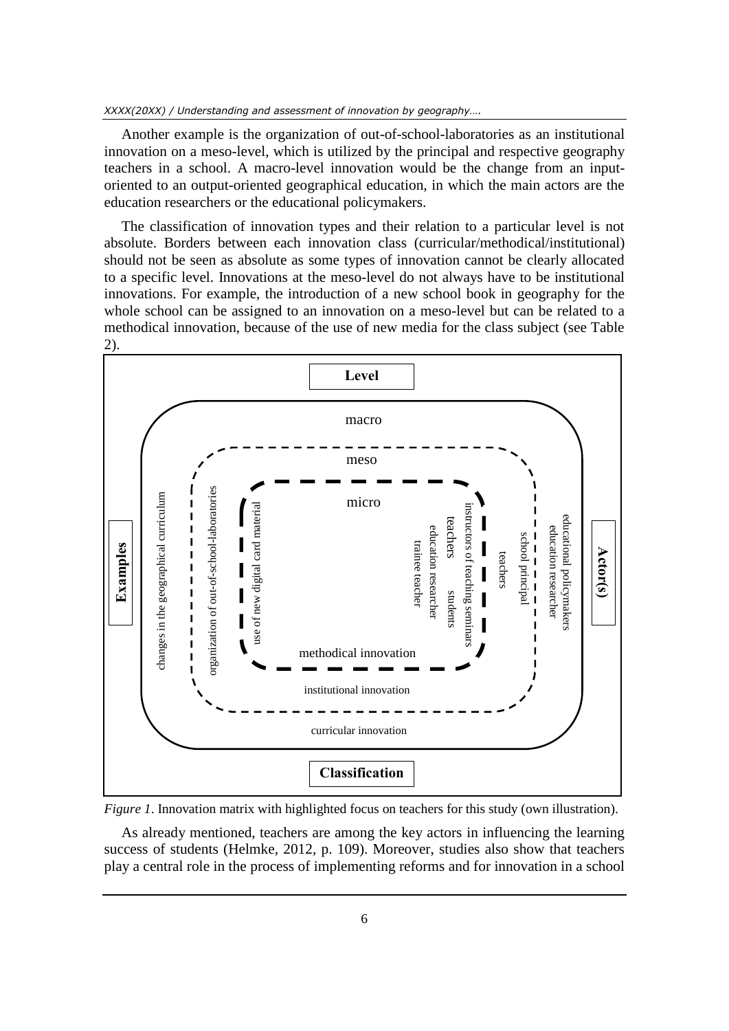Another example is the organization of out-of-school-laboratories as an institutional innovation on a meso-level, which is utilized by the principal and respective geography teachers in a school. A macro-level innovation would be the change from an inputoriented to an output-oriented geographical education, in which the main actors are the education researchers or the educational policymakers.

The classification of innovation types and their relation to a particular level is not absolute. Borders between each innovation class (curricular/methodical/institutional) should not be seen as absolute as some types of innovation cannot be clearly allocated to a specific level. Innovations at the meso-level do not always have to be institutional innovations. For example, the introduction of a new school book in geography for the whole school can be assigned to an innovation on a meso-level but can be related to a methodical innovation, because of the use of new media for the class subject (see Table 2).



*Figure 1*. Innovation matrix with highlighted focus on teachers for this study (own illustration).

As already mentioned, teachers are among the key actors in influencing the learning success of students (Helmke, 2012, p. 109). Moreover, studies also show that teachers play a central role in the process of implementing reforms and for innovation in a school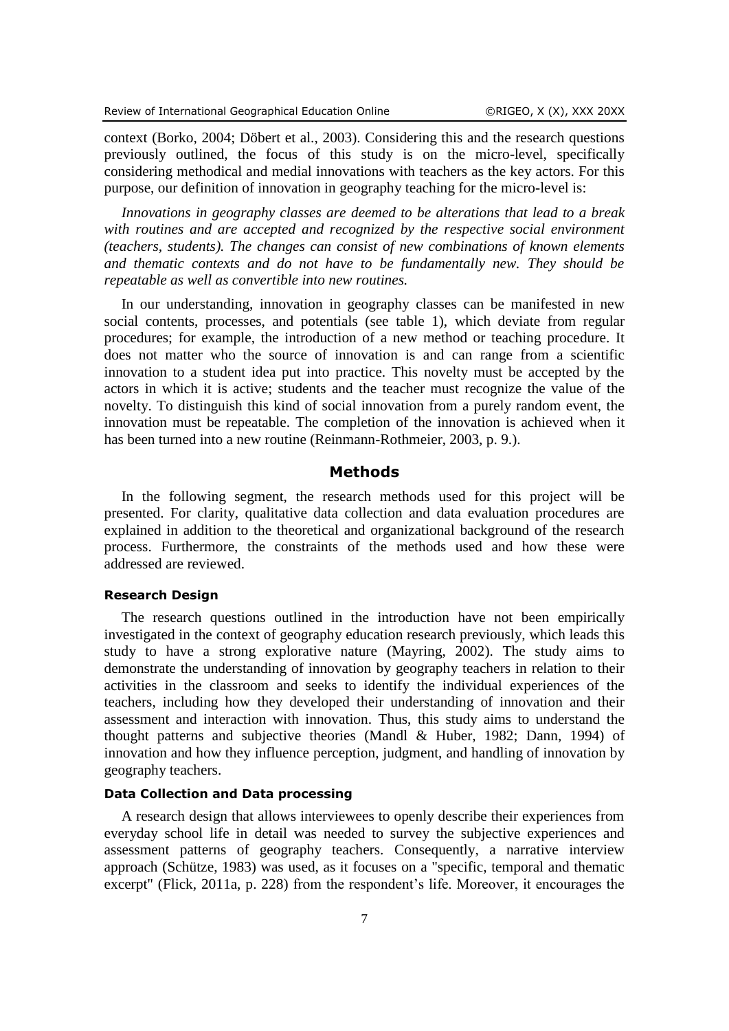context (Borko, 2004; Döbert et al., 2003). Considering this and the research questions previously outlined, the focus of this study is on the micro-level, specifically considering methodical and medial innovations with teachers as the key actors. For this purpose, our definition of innovation in geography teaching for the micro-level is:

*Innovations in geography classes are deemed to be alterations that lead to a break with routines and are accepted and recognized by the respective social environment (teachers, students). The changes can consist of new combinations of known elements and thematic contexts and do not have to be fundamentally new. They should be repeatable as well as convertible into new routines.*

In our understanding, innovation in geography classes can be manifested in new social contents, processes, and potentials (see table 1), which deviate from regular procedures; for example, the introduction of a new method or teaching procedure. It does not matter who the source of innovation is and can range from a scientific innovation to a student idea put into practice. This novelty must be accepted by the actors in which it is active; students and the teacher must recognize the value of the novelty. To distinguish this kind of social innovation from a purely random event, the innovation must be repeatable. The completion of the innovation is achieved when it has been turned into a new routine (Reinmann-Rothmeier, 2003, p. 9.).

## **Methods**

In the following segment, the research methods used for this project will be presented. For clarity, qualitative data collection and data evaluation procedures are explained in addition to the theoretical and organizational background of the research process. Furthermore, the constraints of the methods used and how these were addressed are reviewed.

## **Research Design**

The research questions outlined in the introduction have not been empirically investigated in the context of geography education research previously, which leads this study to have a strong explorative nature (Mayring, 2002). The study aims to demonstrate the understanding of innovation by geography teachers in relation to their activities in the classroom and seeks to identify the individual experiences of the teachers, including how they developed their understanding of innovation and their assessment and interaction with innovation. Thus, this study aims to understand the thought patterns and subjective theories (Mandl & Huber, 1982; Dann, 1994) of innovation and how they influence perception, judgment, and handling of innovation by geography teachers.

## **Data Collection and Data processing**

A research design that allows interviewees to openly describe their experiences from everyday school life in detail was needed to survey the subjective experiences and assessment patterns of geography teachers. Consequently, a narrative interview approach (Schütze, 1983) was used, as it focuses on a "specific, temporal and thematic excerpt" (Flick, 2011a, p. 228) from the respondent's life. Moreover, it encourages the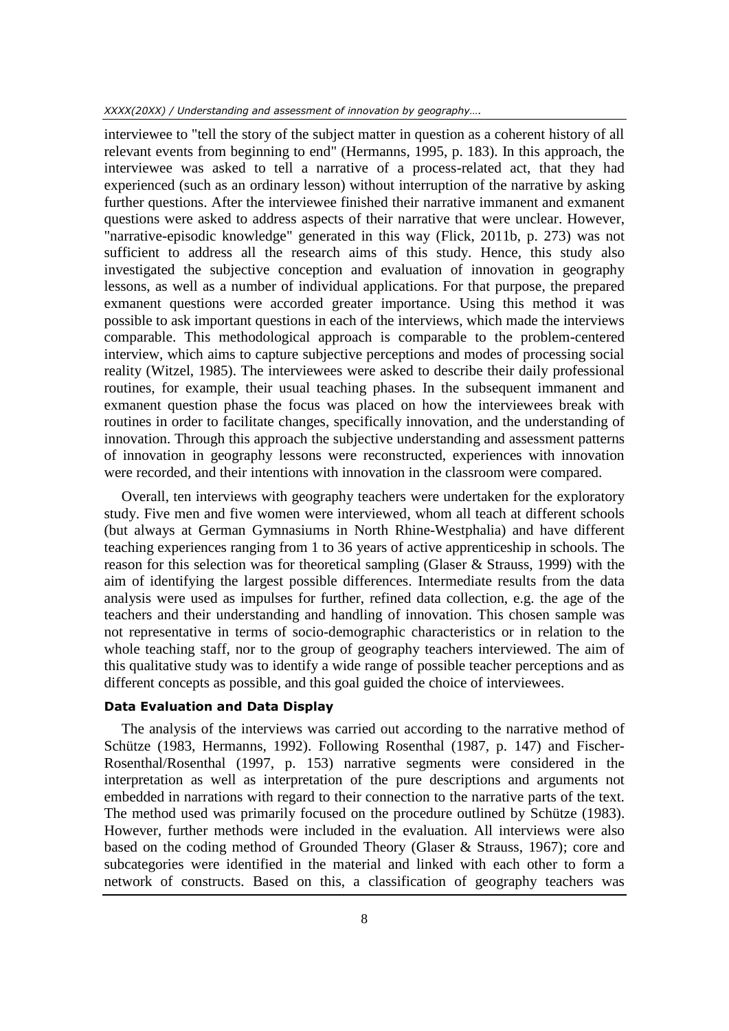interviewee to "tell the story of the subject matter in question as a coherent history of all relevant events from beginning to end" (Hermanns, 1995, p. 183). In this approach, the interviewee was asked to tell a narrative of a process-related act, that they had experienced (such as an ordinary lesson) without interruption of the narrative by asking further questions. After the interviewee finished their narrative immanent and exmanent questions were asked to address aspects of their narrative that were unclear. However, "narrative-episodic knowledge" generated in this way (Flick, 2011b, p. 273) was not sufficient to address all the research aims of this study. Hence, this study also investigated the subjective conception and evaluation of innovation in geography lessons, as well as a number of individual applications. For that purpose, the prepared exmanent questions were accorded greater importance. Using this method it was possible to ask important questions in each of the interviews, which made the interviews comparable. This methodological approach is comparable to the problem-centered interview, which aims to capture subjective perceptions and modes of processing social reality (Witzel, 1985). The interviewees were asked to describe their daily professional routines, for example, their usual teaching phases. In the subsequent immanent and exmanent question phase the focus was placed on how the interviewees break with routines in order to facilitate changes, specifically innovation, and the understanding of innovation. Through this approach the subjective understanding and assessment patterns of innovation in geography lessons were reconstructed, experiences with innovation were recorded, and their intentions with innovation in the classroom were compared.

Overall, ten interviews with geography teachers were undertaken for the exploratory study. Five men and five women were interviewed, whom all teach at different schools (but always at German Gymnasiums in North Rhine-Westphalia) and have different teaching experiences ranging from 1 to 36 years of active apprenticeship in schools. The reason for this selection was for theoretical sampling (Glaser & Strauss, 1999) with the aim of identifying the largest possible differences. Intermediate results from the data analysis were used as impulses for further, refined data collection, e.g. the age of the teachers and their understanding and handling of innovation. This chosen sample was not representative in terms of socio-demographic characteristics or in relation to the whole teaching staff, nor to the group of geography teachers interviewed. The aim of this qualitative study was to identify a wide range of possible teacher perceptions and as different concepts as possible, and this goal guided the choice of interviewees.

## **Data Evaluation and Data Display**

The analysis of the interviews was carried out according to the narrative method of Schütze (1983, Hermanns, 1992). Following Rosenthal (1987, p. 147) and Fischer-Rosenthal/Rosenthal (1997, p. 153) narrative segments were considered in the interpretation as well as interpretation of the pure descriptions and arguments not embedded in narrations with regard to their connection to the narrative parts of the text. The method used was primarily focused on the procedure outlined by Schütze (1983). However, further methods were included in the evaluation. All interviews were also based on the coding method of Grounded Theory (Glaser & Strauss, 1967); core and subcategories were identified in the material and linked with each other to form a network of constructs. Based on this, a classification of geography teachers was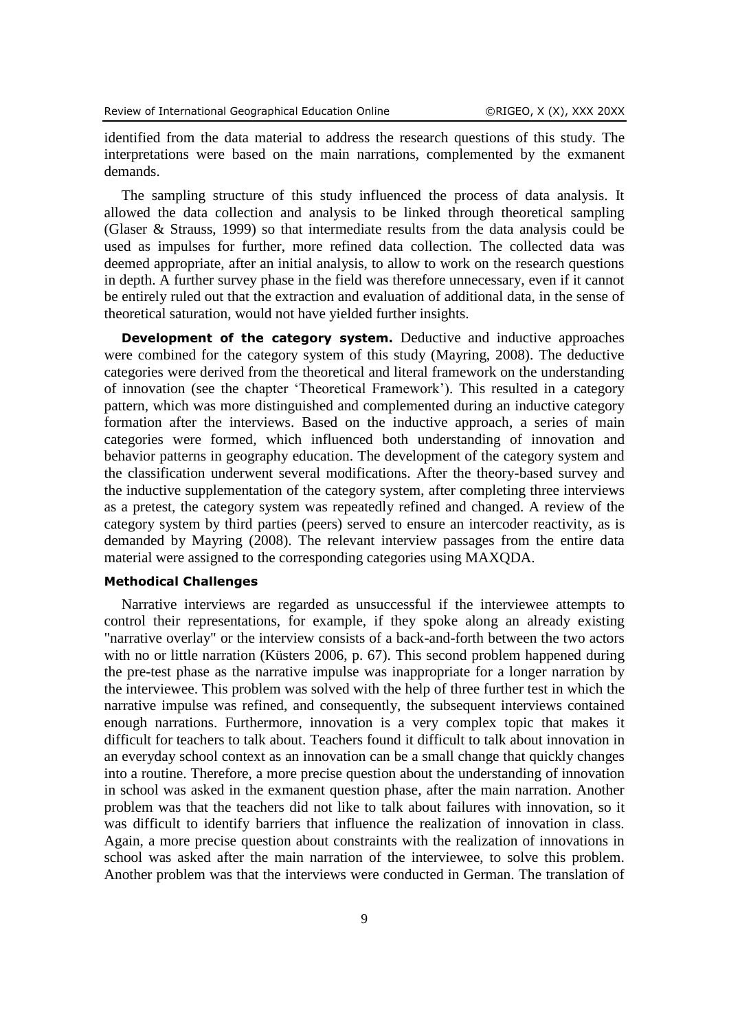identified from the data material to address the research questions of this study. The interpretations were based on the main narrations, complemented by the exmanent demands.

The sampling structure of this study influenced the process of data analysis. It allowed the data collection and analysis to be linked through theoretical sampling (Glaser & Strauss, 1999) so that intermediate results from the data analysis could be used as impulses for further, more refined data collection. The collected data was deemed appropriate, after an initial analysis, to allow to work on the research questions in depth. A further survey phase in the field was therefore unnecessary, even if it cannot be entirely ruled out that the extraction and evaluation of additional data, in the sense of theoretical saturation, would not have yielded further insights.

**Development of the category system.** Deductive and inductive approaches were combined for the category system of this study (Mayring, 2008). The deductive categories were derived from the theoretical and literal framework on the understanding of innovation (see the chapter 'Theoretical Framework'). This resulted in a category pattern, which was more distinguished and complemented during an inductive category formation after the interviews. Based on the inductive approach, a series of main categories were formed, which influenced both understanding of innovation and behavior patterns in geography education. The development of the category system and the classification underwent several modifications. After the theory-based survey and the inductive supplementation of the category system, after completing three interviews as a pretest, the category system was repeatedly refined and changed. A review of the category system by third parties (peers) served to ensure an intercoder reactivity, as is demanded by Mayring (2008). The relevant interview passages from the entire data material were assigned to the corresponding categories using MAXQDA.

#### **Methodical Challenges**

Narrative interviews are regarded as unsuccessful if the interviewee attempts to control their representations, for example, if they spoke along an already existing "narrative overlay" or the interview consists of a back-and-forth between the two actors with no or little narration (Küsters 2006, p. 67). This second problem happened during the pre-test phase as the narrative impulse was inappropriate for a longer narration by the interviewee. This problem was solved with the help of three further test in which the narrative impulse was refined, and consequently, the subsequent interviews contained enough narrations. Furthermore, innovation is a very complex topic that makes it difficult for teachers to talk about. Teachers found it difficult to talk about innovation in an everyday school context as an innovation can be a small change that quickly changes into a routine. Therefore, a more precise question about the understanding of innovation in school was asked in the exmanent question phase, after the main narration. Another problem was that the teachers did not like to talk about failures with innovation, so it was difficult to identify barriers that influence the realization of innovation in class. Again, a more precise question about constraints with the realization of innovations in school was asked after the main narration of the interviewee, to solve this problem. Another problem was that the interviews were conducted in German. The translation of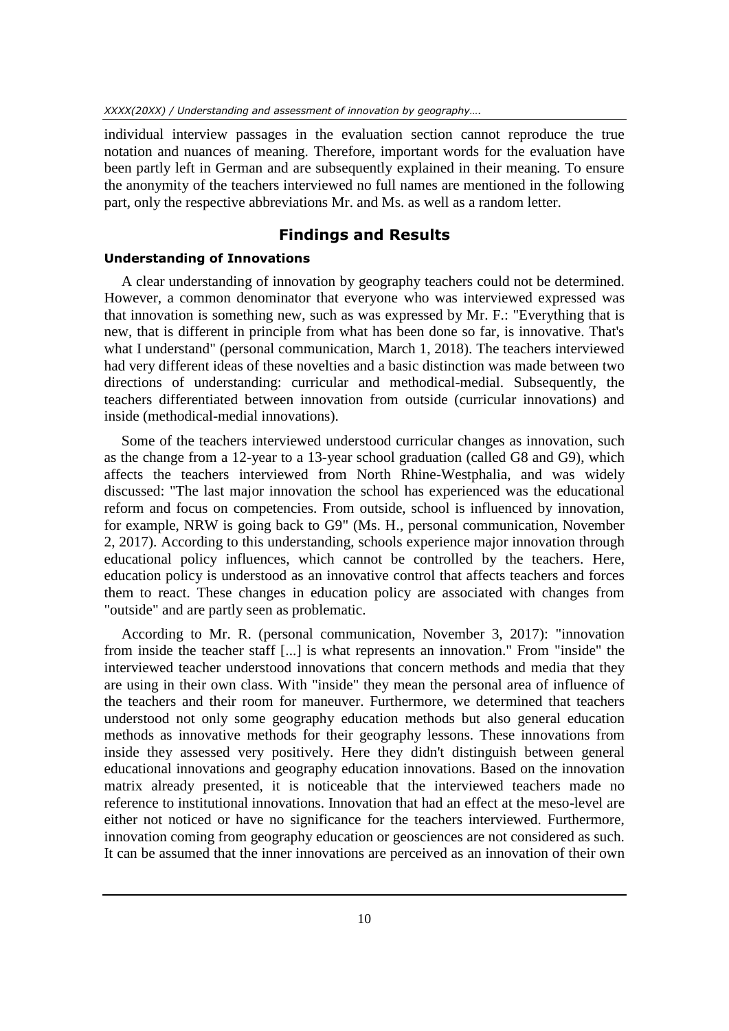individual interview passages in the evaluation section cannot reproduce the true notation and nuances of meaning. Therefore, important words for the evaluation have been partly left in German and are subsequently explained in their meaning. To ensure the anonymity of the teachers interviewed no full names are mentioned in the following part, only the respective abbreviations Mr. and Ms. as well as a random letter.

# **Findings and Results**

## **Understanding of Innovations**

A clear understanding of innovation by geography teachers could not be determined. However, a common denominator that everyone who was interviewed expressed was that innovation is something new, such as was expressed by Mr. F.: "Everything that is new, that is different in principle from what has been done so far, is innovative. That's what I understand" (personal communication, March 1, 2018). The teachers interviewed had very different ideas of these novelties and a basic distinction was made between two directions of understanding: curricular and methodical-medial. Subsequently, the teachers differentiated between innovation from outside (curricular innovations) and inside (methodical-medial innovations).

Some of the teachers interviewed understood curricular changes as innovation, such as the change from a 12-year to a 13-year school graduation (called G8 and G9), which affects the teachers interviewed from North Rhine-Westphalia, and was widely discussed: "The last major innovation the school has experienced was the educational reform and focus on competencies. From outside, school is influenced by innovation, for example, NRW is going back to G9" (Ms. H., personal communication, November 2, 2017). According to this understanding, schools experience major innovation through educational policy influences, which cannot be controlled by the teachers. Here, education policy is understood as an innovative control that affects teachers and forces them to react. These changes in education policy are associated with changes from "outside" and are partly seen as problematic.

According to Mr. R. (personal communication, November 3, 2017): "innovation from inside the teacher staff [...] is what represents an innovation." From "inside" the interviewed teacher understood innovations that concern methods and media that they are using in their own class. With "inside" they mean the personal area of influence of the teachers and their room for maneuver. Furthermore, we determined that teachers understood not only some geography education methods but also general education methods as innovative methods for their geography lessons. These innovations from inside they assessed very positively. Here they didn't distinguish between general educational innovations and geography education innovations. Based on the innovation matrix already presented, it is noticeable that the interviewed teachers made no reference to institutional innovations. Innovation that had an effect at the meso-level are either not noticed or have no significance for the teachers interviewed. Furthermore, innovation coming from geography education or geosciences are not considered as such. It can be assumed that the inner innovations are perceived as an innovation of their own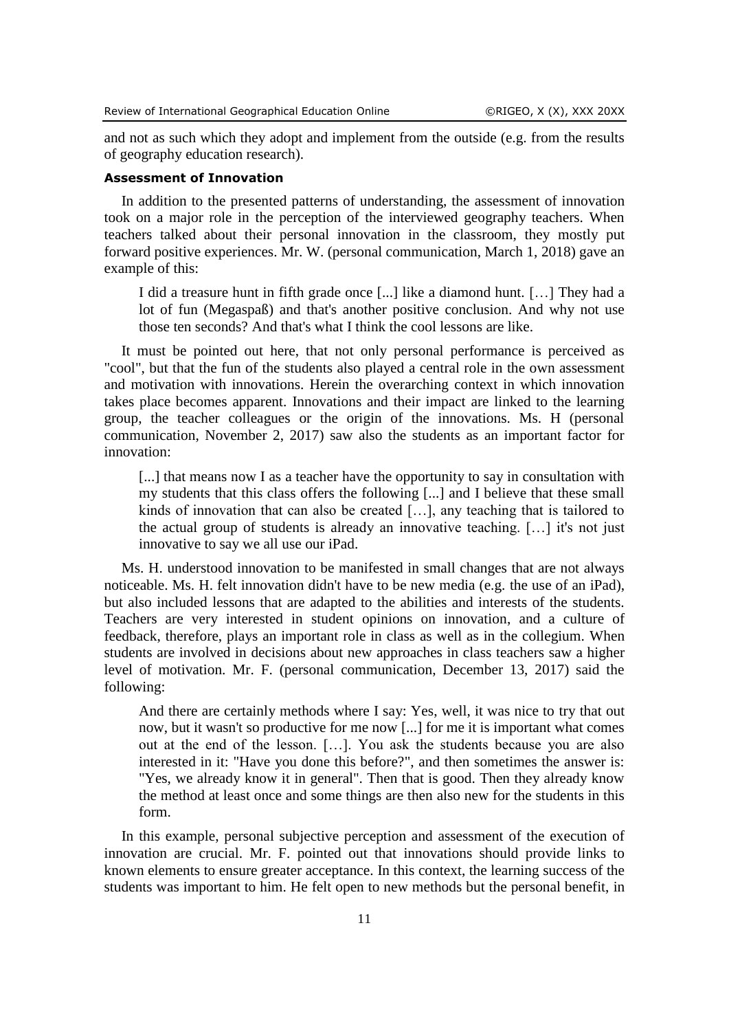and not as such which they adopt and implement from the outside (e.g. from the results of geography education research).

#### **Assessment of Innovation**

In addition to the presented patterns of understanding, the assessment of innovation took on a major role in the perception of the interviewed geography teachers. When teachers talked about their personal innovation in the classroom, they mostly put forward positive experiences. Mr. W. (personal communication, March 1, 2018) gave an example of this:

I did a treasure hunt in fifth grade once [...] like a diamond hunt. […] They had a lot of fun (Megaspaß) and that's another positive conclusion. And why not use those ten seconds? And that's what I think the cool lessons are like.

It must be pointed out here, that not only personal performance is perceived as "cool", but that the fun of the students also played a central role in the own assessment and motivation with innovations. Herein the overarching context in which innovation takes place becomes apparent. Innovations and their impact are linked to the learning group, the teacher colleagues or the origin of the innovations. Ms. H (personal communication, November 2, 2017) saw also the students as an important factor for innovation:

[...] that means now I as a teacher have the opportunity to say in consultation with my students that this class offers the following [...] and I believe that these small kinds of innovation that can also be created […], any teaching that is tailored to the actual group of students is already an innovative teaching. […] it's not just innovative to say we all use our iPad.

Ms. H. understood innovation to be manifested in small changes that are not always noticeable. Ms. H. felt innovation didn't have to be new media (e.g. the use of an iPad), but also included lessons that are adapted to the abilities and interests of the students. Teachers are very interested in student opinions on innovation, and a culture of feedback, therefore, plays an important role in class as well as in the collegium. When students are involved in decisions about new approaches in class teachers saw a higher level of motivation. Mr. F. (personal communication, December 13, 2017) said the following:

And there are certainly methods where I say: Yes, well, it was nice to try that out now, but it wasn't so productive for me now [...] for me it is important what comes out at the end of the lesson. […]. You ask the students because you are also interested in it: "Have you done this before?", and then sometimes the answer is: "Yes, we already know it in general". Then that is good. Then they already know the method at least once and some things are then also new for the students in this form.

In this example, personal subjective perception and assessment of the execution of innovation are crucial. Mr. F. pointed out that innovations should provide links to known elements to ensure greater acceptance. In this context, the learning success of the students was important to him. He felt open to new methods but the personal benefit, in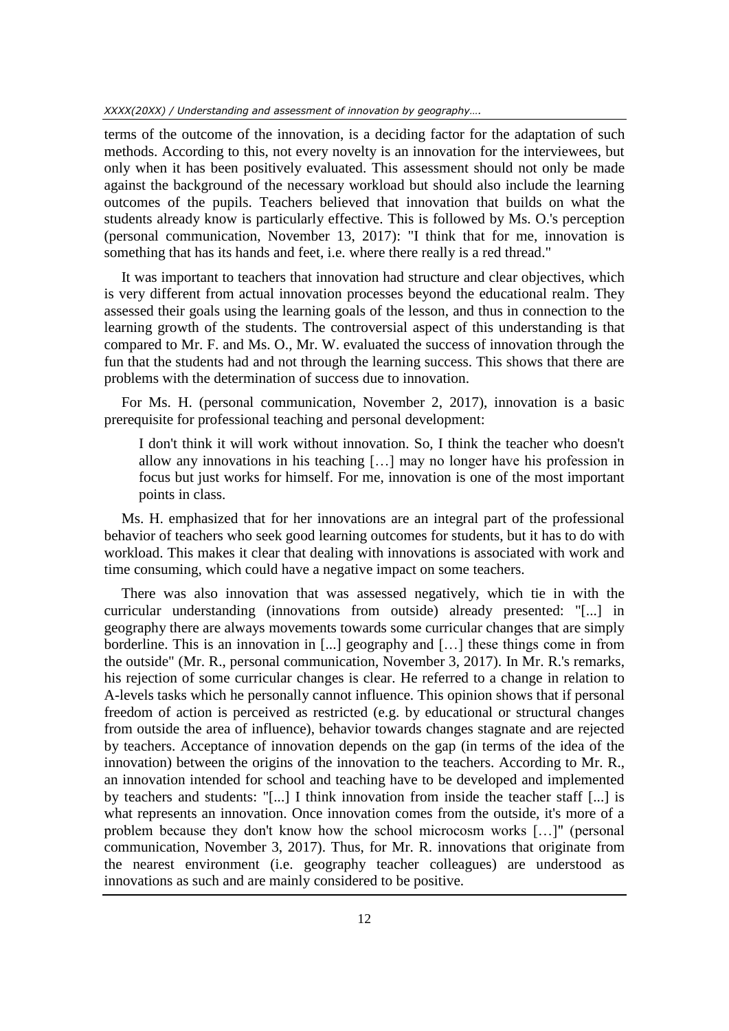terms of the outcome of the innovation, is a deciding factor for the adaptation of such methods. According to this, not every novelty is an innovation for the interviewees, but only when it has been positively evaluated. This assessment should not only be made against the background of the necessary workload but should also include the learning outcomes of the pupils. Teachers believed that innovation that builds on what the students already know is particularly effective. This is followed by Ms. O.'s perception (personal communication, November 13, 2017): "I think that for me, innovation is something that has its hands and feet, i.e. where there really is a red thread."

It was important to teachers that innovation had structure and clear objectives, which is very different from actual innovation processes beyond the educational realm. They assessed their goals using the learning goals of the lesson, and thus in connection to the learning growth of the students. The controversial aspect of this understanding is that compared to Mr. F. and Ms. O., Mr. W. evaluated the success of innovation through the fun that the students had and not through the learning success. This shows that there are problems with the determination of success due to innovation.

For Ms. H. (personal communication, November 2, 2017), innovation is a basic prerequisite for professional teaching and personal development:

I don't think it will work without innovation. So, I think the teacher who doesn't allow any innovations in his teaching […] may no longer have his profession in focus but just works for himself. For me, innovation is one of the most important points in class.

Ms. H. emphasized that for her innovations are an integral part of the professional behavior of teachers who seek good learning outcomes for students, but it has to do with workload. This makes it clear that dealing with innovations is associated with work and time consuming, which could have a negative impact on some teachers.

There was also innovation that was assessed negatively, which tie in with the curricular understanding (innovations from outside) already presented: "[...] in geography there are always movements towards some curricular changes that are simply borderline. This is an innovation in [...] geography and […] these things come in from the outside" (Mr. R., personal communication, November 3, 2017). In Mr. R.'s remarks, his rejection of some curricular changes is clear. He referred to a change in relation to A-levels tasks which he personally cannot influence. This opinion shows that if personal freedom of action is perceived as restricted (e.g. by educational or structural changes from outside the area of influence), behavior towards changes stagnate and are rejected by teachers. Acceptance of innovation depends on the gap (in terms of the idea of the innovation) between the origins of the innovation to the teachers. According to Mr. R., an innovation intended for school and teaching have to be developed and implemented by teachers and students: "[...] I think innovation from inside the teacher staff [...] is what represents an innovation. Once innovation comes from the outside, it's more of a problem because they don't know how the school microcosm works […]" (personal communication, November 3, 2017). Thus, for Mr. R. innovations that originate from the nearest environment (i.e. geography teacher colleagues) are understood as innovations as such and are mainly considered to be positive.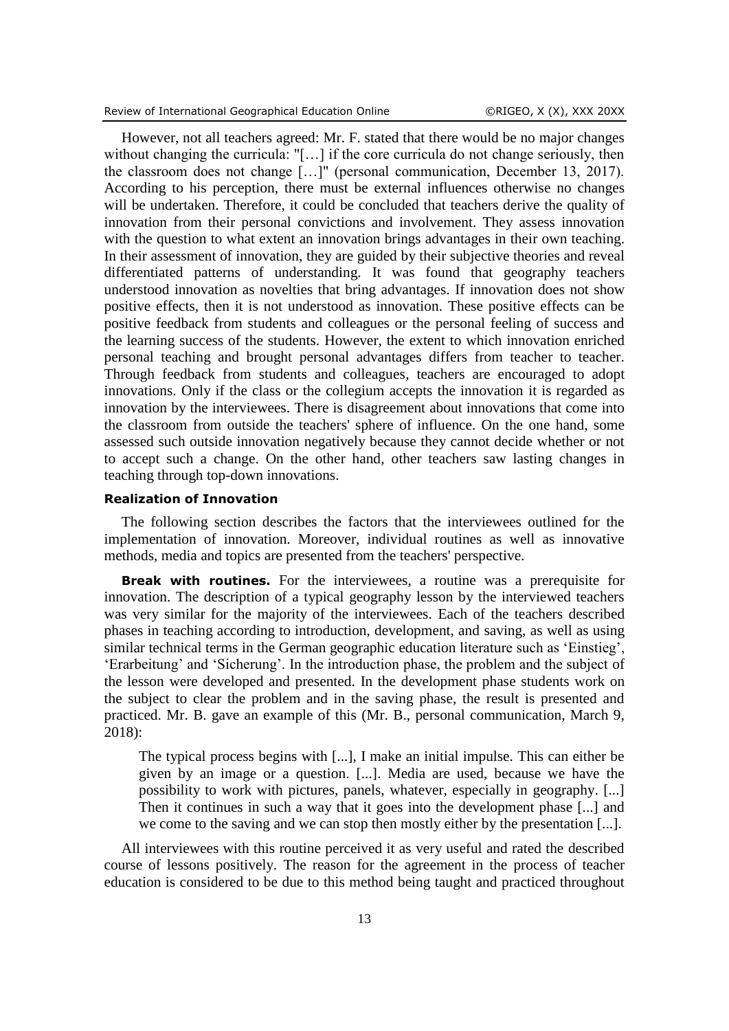However, not all teachers agreed: Mr. F. stated that there would be no major changes without changing the curricula: "[...] if the core curricula do not change seriously, then the classroom does not change […]" (personal communication, December 13, 2017). According to his perception, there must be external influences otherwise no changes will be undertaken. Therefore, it could be concluded that teachers derive the quality of innovation from their personal convictions and involvement. They assess innovation with the question to what extent an innovation brings advantages in their own teaching. In their assessment of innovation, they are guided by their subjective theories and reveal differentiated patterns of understanding. It was found that geography teachers understood innovation as novelties that bring advantages. If innovation does not show positive effects, then it is not understood as innovation. These positive effects can be positive feedback from students and colleagues or the personal feeling of success and the learning success of the students. However, the extent to which innovation enriched personal teaching and brought personal advantages differs from teacher to teacher. Through feedback from students and colleagues, teachers are encouraged to adopt innovations. Only if the class or the collegium accepts the innovation it is regarded as innovation by the interviewees. There is disagreement about innovations that come into the classroom from outside the teachers' sphere of influence. On the one hand, some assessed such outside innovation negatively because they cannot decide whether or not to accept such a change. On the other hand, other teachers saw lasting changes in teaching through top-down innovations.

## **Realization of Innovation**

The following section describes the factors that the interviewees outlined for the implementation of innovation. Moreover, individual routines as well as innovative methods, media and topics are presented from the teachers' perspective.

**Break with routines.** For the interviewees, a routine was a prerequisite for innovation. The description of a typical geography lesson by the interviewed teachers was very similar for the majority of the interviewees. Each of the teachers described phases in teaching according to introduction, development, and saving, as well as using similar technical terms in the German geographic education literature such as 'Einstieg', 'Erarbeitung' and 'Sicherung'. In the introduction phase, the problem and the subject of the lesson were developed and presented. In the development phase students work on the subject to clear the problem and in the saving phase, the result is presented and practiced. Mr. B. gave an example of this (Mr. B., personal communication, March 9, 2018):

The typical process begins with [...], I make an initial impulse. This can either be given by an image or a question. [...]. Media are used, because we have the possibility to work with pictures, panels, whatever, especially in geography. [...] Then it continues in such a way that it goes into the development phase [...] and we come to the saving and we can stop then mostly either by the presentation [...].

All interviewees with this routine perceived it as very useful and rated the described course of lessons positively. The reason for the agreement in the process of teacher education is considered to be due to this method being taught and practiced throughout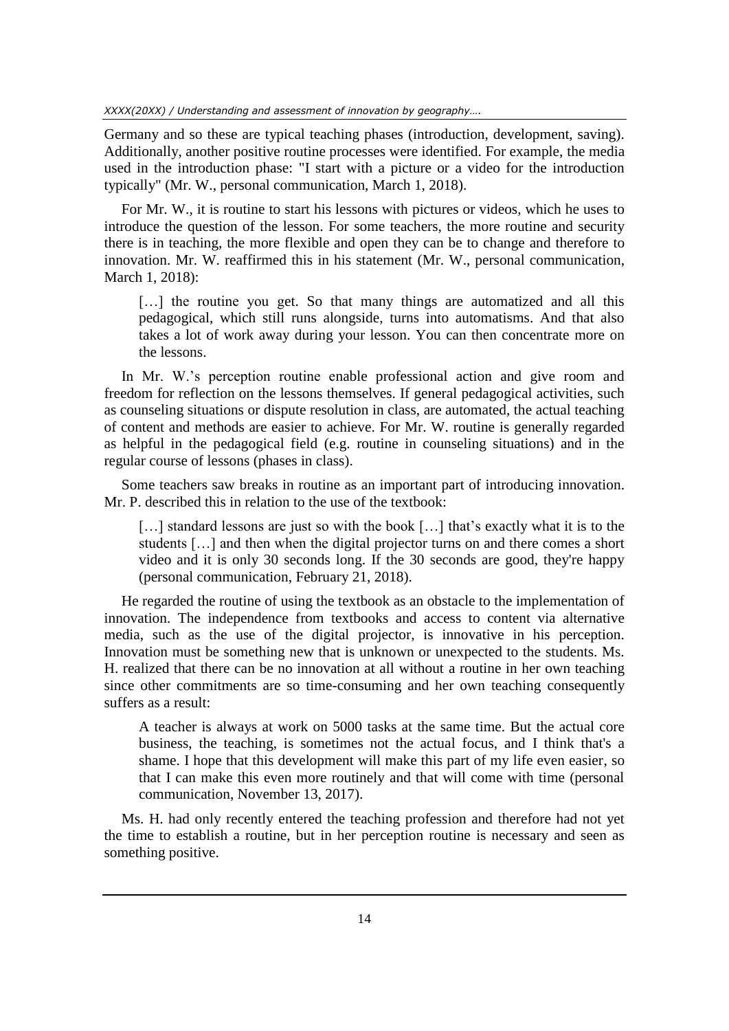Germany and so these are typical teaching phases (introduction, development, saving). Additionally, another positive routine processes were identified. For example, the media used in the introduction phase: "I start with a picture or a video for the introduction typically" (Mr. W., personal communication, March 1, 2018).

For Mr. W., it is routine to start his lessons with pictures or videos, which he uses to introduce the question of the lesson. For some teachers, the more routine and security there is in teaching, the more flexible and open they can be to change and therefore to innovation. Mr. W. reaffirmed this in his statement (Mr. W., personal communication, March 1, 2018):

[...] the routine you get. So that many things are automatized and all this pedagogical, which still runs alongside, turns into automatisms. And that also takes a lot of work away during your lesson. You can then concentrate more on the lessons.

In Mr. W.'s perception routine enable professional action and give room and freedom for reflection on the lessons themselves. If general pedagogical activities, such as counseling situations or dispute resolution in class, are automated, the actual teaching of content and methods are easier to achieve. For Mr. W. routine is generally regarded as helpful in the pedagogical field (e.g. routine in counseling situations) and in the regular course of lessons (phases in class).

Some teachers saw breaks in routine as an important part of introducing innovation. Mr. P. described this in relation to the use of the textbook:

[...] standard lessons are just so with the book [...] that's exactly what it is to the students […] and then when the digital projector turns on and there comes a short video and it is only 30 seconds long. If the 30 seconds are good, they're happy (personal communication, February 21, 2018).

He regarded the routine of using the textbook as an obstacle to the implementation of innovation. The independence from textbooks and access to content via alternative media, such as the use of the digital projector, is innovative in his perception. Innovation must be something new that is unknown or unexpected to the students. Ms. H. realized that there can be no innovation at all without a routine in her own teaching since other commitments are so time-consuming and her own teaching consequently suffers as a result:

A teacher is always at work on 5000 tasks at the same time. But the actual core business, the teaching, is sometimes not the actual focus, and I think that's a shame. I hope that this development will make this part of my life even easier, so that I can make this even more routinely and that will come with time (personal communication, November 13, 2017).

Ms. H. had only recently entered the teaching profession and therefore had not yet the time to establish a routine, but in her perception routine is necessary and seen as something positive.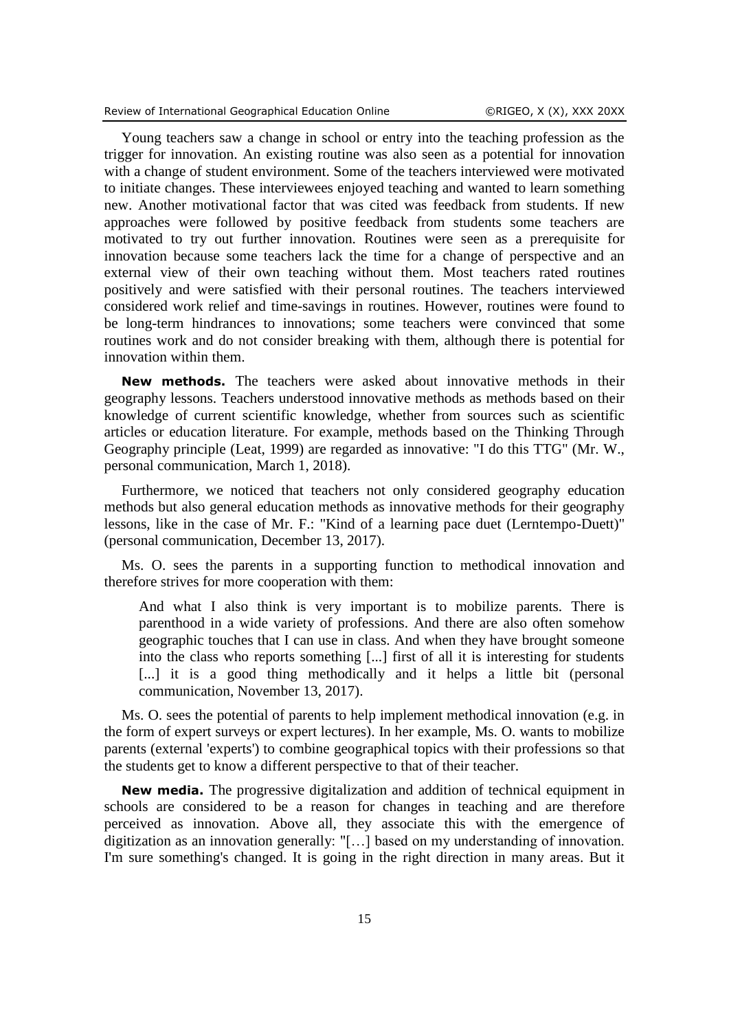Young teachers saw a change in school or entry into the teaching profession as the trigger for innovation. An existing routine was also seen as a potential for innovation with a change of student environment. Some of the teachers interviewed were motivated to initiate changes. These interviewees enjoyed teaching and wanted to learn something new. Another motivational factor that was cited was feedback from students. If new approaches were followed by positive feedback from students some teachers are motivated to try out further innovation. Routines were seen as a prerequisite for innovation because some teachers lack the time for a change of perspective and an external view of their own teaching without them. Most teachers rated routines positively and were satisfied with their personal routines. The teachers interviewed considered work relief and time-savings in routines. However, routines were found to be long-term hindrances to innovations; some teachers were convinced that some routines work and do not consider breaking with them, although there is potential for innovation within them.

**New methods.** The teachers were asked about innovative methods in their geography lessons. Teachers understood innovative methods as methods based on their knowledge of current scientific knowledge, whether from sources such as scientific articles or education literature. For example, methods based on the Thinking Through Geography principle (Leat, 1999) are regarded as innovative: "I do this TTG" (Mr. W., personal communication, March 1, 2018).

Furthermore, we noticed that teachers not only considered geography education methods but also general education methods as innovative methods for their geography lessons, like in the case of Mr. F.: "Kind of a learning pace duet (Lerntempo-Duett)" (personal communication, December 13, 2017).

Ms. O. sees the parents in a supporting function to methodical innovation and therefore strives for more cooperation with them:

And what I also think is very important is to mobilize parents. There is parenthood in a wide variety of professions. And there are also often somehow geographic touches that I can use in class. And when they have brought someone into the class who reports something [...] first of all it is interesting for students [...] it is a good thing methodically and it helps a little bit (personal communication, November 13, 2017).

Ms. O. sees the potential of parents to help implement methodical innovation (e.g. in the form of expert surveys or expert lectures). In her example, Ms. O. wants to mobilize parents (external 'experts') to combine geographical topics with their professions so that the students get to know a different perspective to that of their teacher.

**New media.** The progressive digitalization and addition of technical equipment in schools are considered to be a reason for changes in teaching and are therefore perceived as innovation. Above all, they associate this with the emergence of digitization as an innovation generally: "[…] based on my understanding of innovation. I'm sure something's changed. It is going in the right direction in many areas. But it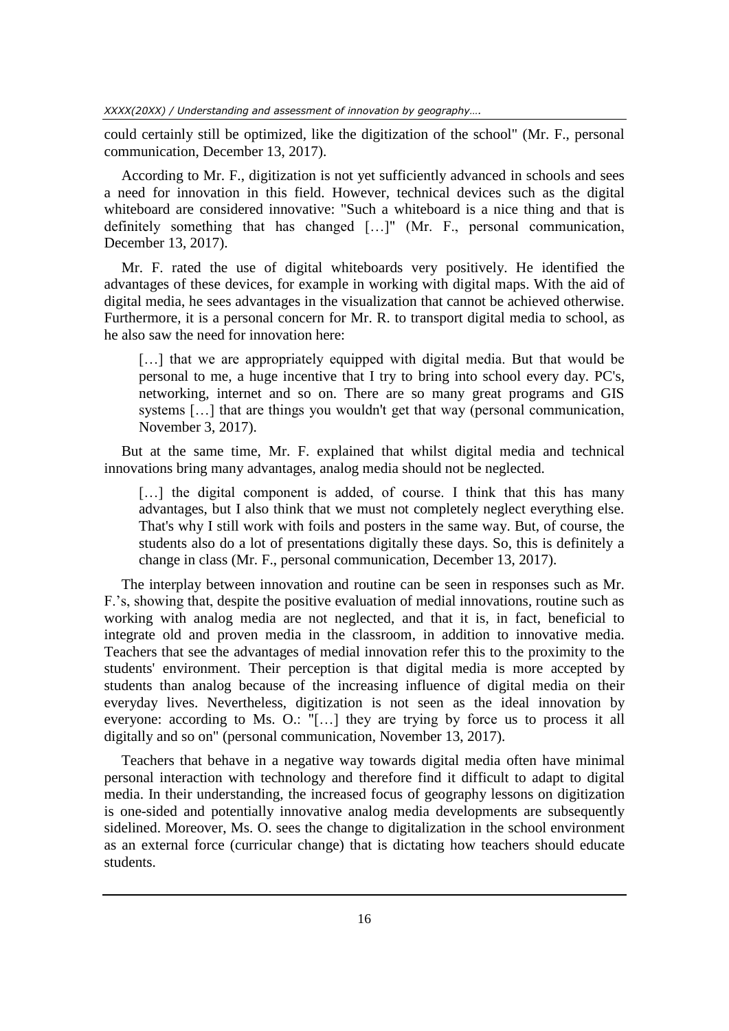could certainly still be optimized, like the digitization of the school" (Mr. F., personal communication, December 13, 2017).

According to Mr. F., digitization is not yet sufficiently advanced in schools and sees a need for innovation in this field. However, technical devices such as the digital whiteboard are considered innovative: "Such a whiteboard is a nice thing and that is definitely something that has changed […]" (Mr. F., personal communication, December 13, 2017).

Mr. F. rated the use of digital whiteboards very positively. He identified the advantages of these devices, for example in working with digital maps. With the aid of digital media, he sees advantages in the visualization that cannot be achieved otherwise. Furthermore, it is a personal concern for Mr. R. to transport digital media to school, as he also saw the need for innovation here:

[...] that we are appropriately equipped with digital media. But that would be personal to me, a huge incentive that I try to bring into school every day. PC's, networking, internet and so on. There are so many great programs and GIS systems […] that are things you wouldn't get that way (personal communication, November 3, 2017).

But at the same time, Mr. F. explained that whilst digital media and technical innovations bring many advantages, analog media should not be neglected.

[...] the digital component is added, of course. I think that this has many advantages, but I also think that we must not completely neglect everything else. That's why I still work with foils and posters in the same way. But, of course, the students also do a lot of presentations digitally these days. So, this is definitely a change in class (Mr. F., personal communication, December 13, 2017).

The interplay between innovation and routine can be seen in responses such as Mr. F.'s, showing that, despite the positive evaluation of medial innovations, routine such as working with analog media are not neglected, and that it is, in fact, beneficial to integrate old and proven media in the classroom, in addition to innovative media. Teachers that see the advantages of medial innovation refer this to the proximity to the students' environment. Their perception is that digital media is more accepted by students than analog because of the increasing influence of digital media on their everyday lives. Nevertheless, digitization is not seen as the ideal innovation by everyone: according to Ms. O.: "[…] they are trying by force us to process it all digitally and so on" (personal communication, November 13, 2017).

Teachers that behave in a negative way towards digital media often have minimal personal interaction with technology and therefore find it difficult to adapt to digital media. In their understanding, the increased focus of geography lessons on digitization is one-sided and potentially innovative analog media developments are subsequently sidelined. Moreover, Ms. O. sees the change to digitalization in the school environment as an external force (curricular change) that is dictating how teachers should educate students.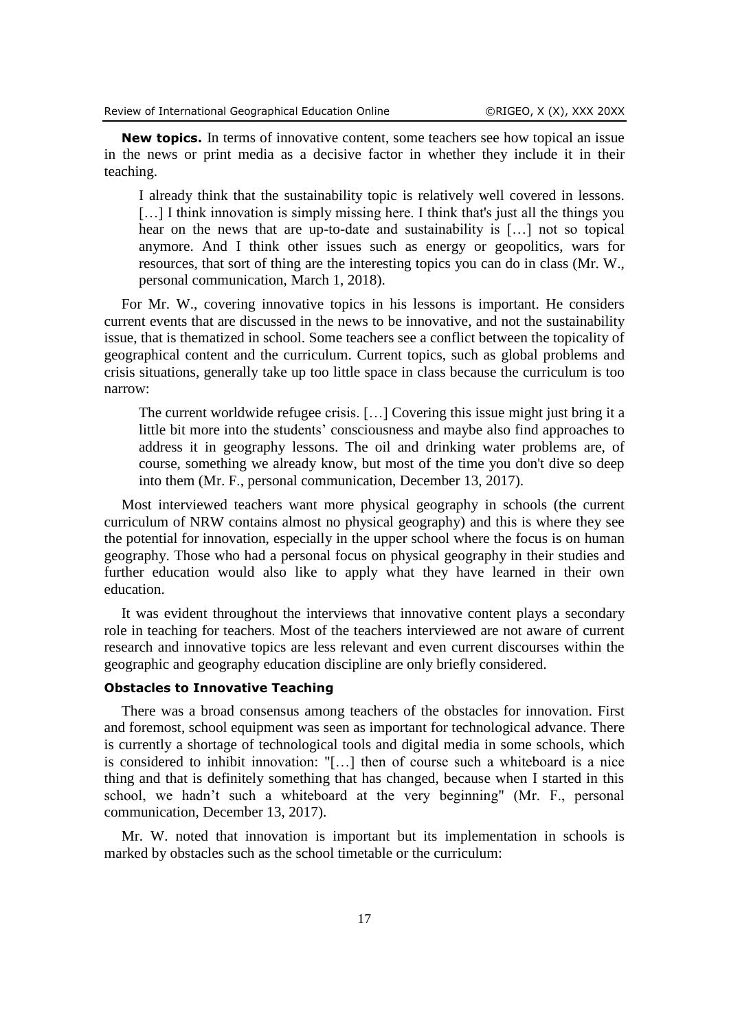**New topics.** In terms of innovative content, some teachers see how topical an issue in the news or print media as a decisive factor in whether they include it in their teaching.

I already think that the sustainability topic is relatively well covered in lessons. [...] I think innovation is simply missing here. I think that's just all the things you hear on the news that are up-to-date and sustainability is […] not so topical anymore. And I think other issues such as energy or geopolitics, wars for resources, that sort of thing are the interesting topics you can do in class (Mr. W., personal communication, March 1, 2018).

For Mr. W., covering innovative topics in his lessons is important. He considers current events that are discussed in the news to be innovative, and not the sustainability issue, that is thematized in school. Some teachers see a conflict between the topicality of geographical content and the curriculum. Current topics, such as global problems and crisis situations, generally take up too little space in class because the curriculum is too narrow:

The current worldwide refugee crisis. […] Covering this issue might just bring it a little bit more into the students' consciousness and maybe also find approaches to address it in geography lessons. The oil and drinking water problems are, of course, something we already know, but most of the time you don't dive so deep into them (Mr. F., personal communication, December 13, 2017).

Most interviewed teachers want more physical geography in schools (the current curriculum of NRW contains almost no physical geography) and this is where they see the potential for innovation, especially in the upper school where the focus is on human geography. Those who had a personal focus on physical geography in their studies and further education would also like to apply what they have learned in their own education.

It was evident throughout the interviews that innovative content plays a secondary role in teaching for teachers. Most of the teachers interviewed are not aware of current research and innovative topics are less relevant and even current discourses within the geographic and geography education discipline are only briefly considered.

## **Obstacles to Innovative Teaching**

There was a broad consensus among teachers of the obstacles for innovation. First and foremost, school equipment was seen as important for technological advance. There is currently a shortage of technological tools and digital media in some schools, which is considered to inhibit innovation: "[…] then of course such a whiteboard is a nice thing and that is definitely something that has changed, because when I started in this school, we hadn't such a whiteboard at the very beginning" (Mr. F., personal communication, December 13, 2017).

Mr. W. noted that innovation is important but its implementation in schools is marked by obstacles such as the school timetable or the curriculum: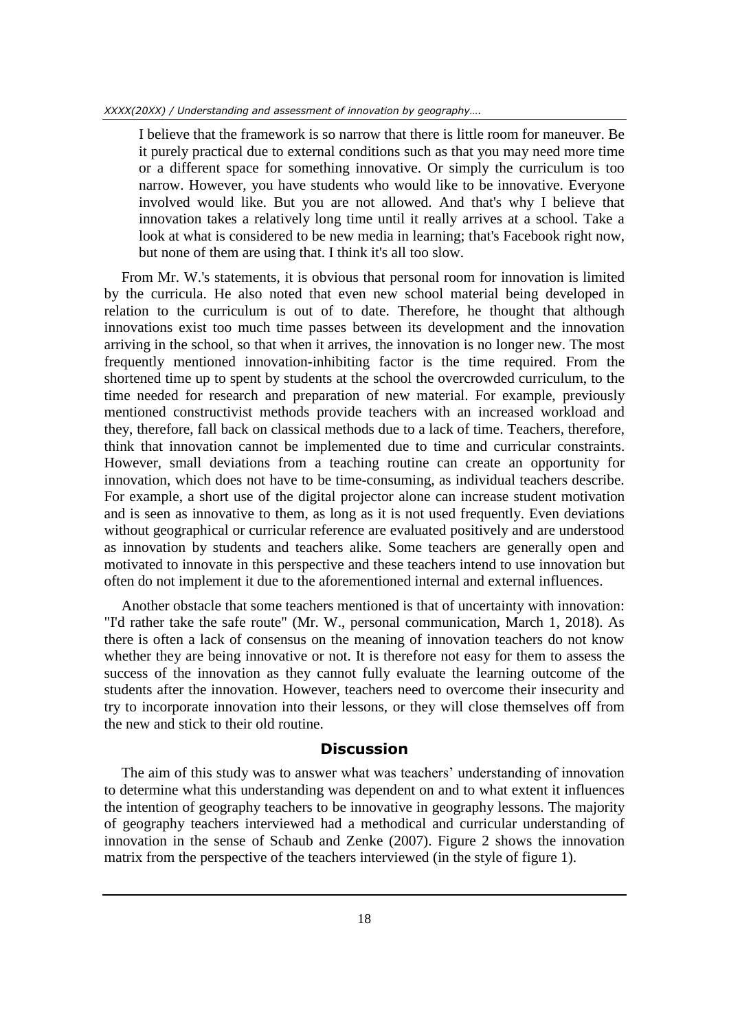I believe that the framework is so narrow that there is little room for maneuver. Be it purely practical due to external conditions such as that you may need more time or a different space for something innovative. Or simply the curriculum is too narrow. However, you have students who would like to be innovative. Everyone involved would like. But you are not allowed. And that's why I believe that innovation takes a relatively long time until it really arrives at a school. Take a look at what is considered to be new media in learning; that's Facebook right now, but none of them are using that. I think it's all too slow.

From Mr. W.'s statements, it is obvious that personal room for innovation is limited by the curricula. He also noted that even new school material being developed in relation to the curriculum is out of to date. Therefore, he thought that although innovations exist too much time passes between its development and the innovation arriving in the school, so that when it arrives, the innovation is no longer new. The most frequently mentioned innovation-inhibiting factor is the time required. From the shortened time up to spent by students at the school the overcrowded curriculum, to the time needed for research and preparation of new material. For example, previously mentioned constructivist methods provide teachers with an increased workload and they, therefore, fall back on classical methods due to a lack of time. Teachers, therefore, think that innovation cannot be implemented due to time and curricular constraints. However, small deviations from a teaching routine can create an opportunity for innovation, which does not have to be time-consuming, as individual teachers describe. For example, a short use of the digital projector alone can increase student motivation and is seen as innovative to them, as long as it is not used frequently. Even deviations without geographical or curricular reference are evaluated positively and are understood as innovation by students and teachers alike. Some teachers are generally open and motivated to innovate in this perspective and these teachers intend to use innovation but often do not implement it due to the aforementioned internal and external influences.

Another obstacle that some teachers mentioned is that of uncertainty with innovation: "I'd rather take the safe route" (Mr. W., personal communication, March 1, 2018). As there is often a lack of consensus on the meaning of innovation teachers do not know whether they are being innovative or not. It is therefore not easy for them to assess the success of the innovation as they cannot fully evaluate the learning outcome of the students after the innovation. However, teachers need to overcome their insecurity and try to incorporate innovation into their lessons, or they will close themselves off from the new and stick to their old routine.

## **Discussion**

The aim of this study was to answer what was teachers' understanding of innovation to determine what this understanding was dependent on and to what extent it influences the intention of geography teachers to be innovative in geography lessons. The majority of geography teachers interviewed had a methodical and curricular understanding of innovation in the sense of Schaub and Zenke (2007). Figure 2 shows the innovation matrix from the perspective of the teachers interviewed (in the style of figure 1).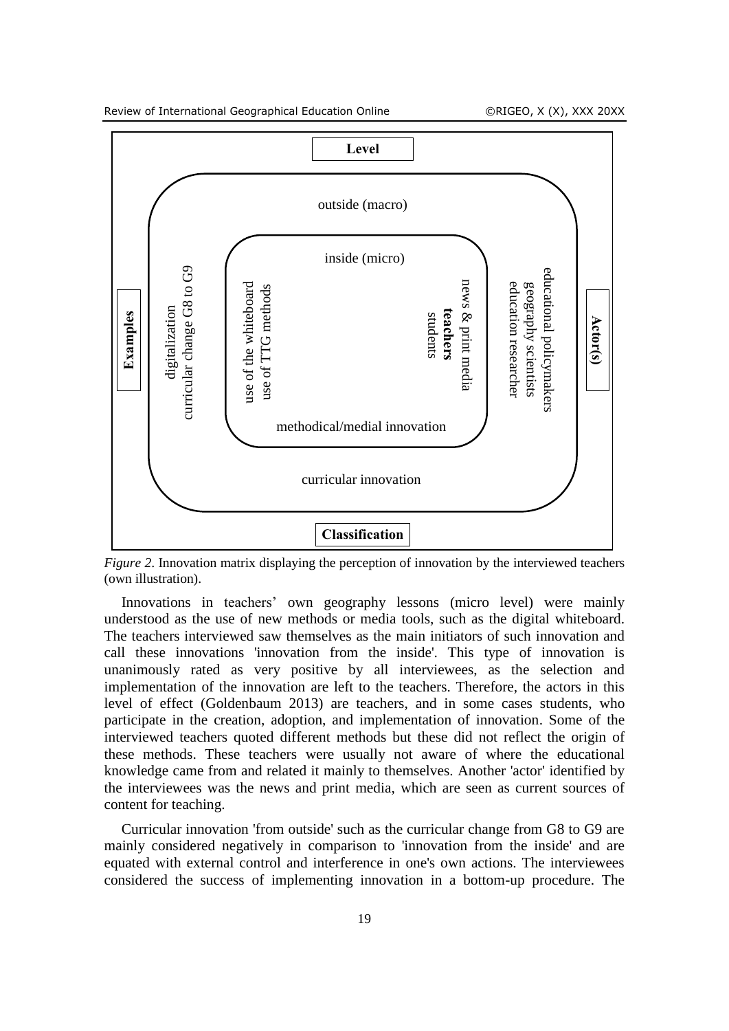



*Figure 2.* Innovation matrix displaying the perception of innovation by the interviewed teachers (own illustration).

Innovations in teachers' own geography lessons (micro level) were mainly understood as the use of new methods or media tools, such as the digital whiteboard. The teachers interviewed saw themselves as the main initiators of such innovation and call these innovations 'innovation from the inside'. This type of innovation is unanimously rated as very positive by all interviewees, as the selection and implementation of the innovation are left to the teachers. Therefore, the actors in this level of effect (Goldenbaum 2013) are teachers, and in some cases students, who participate in the creation, adoption, and implementation of innovation. Some of the interviewed teachers quoted different methods but these did not reflect the origin of these methods. These teachers were usually not aware of where the educational knowledge came from and related it mainly to themselves. Another 'actor' identified by the interviewees was the news and print media, which are seen as current sources of content for teaching.

Curricular innovation 'from outside' such as the curricular change from G8 to G9 are mainly considered negatively in comparison to 'innovation from the inside' and are equated with external control and interference in one's own actions. The interviewees considered the success of implementing innovation in a bottom-up procedure. The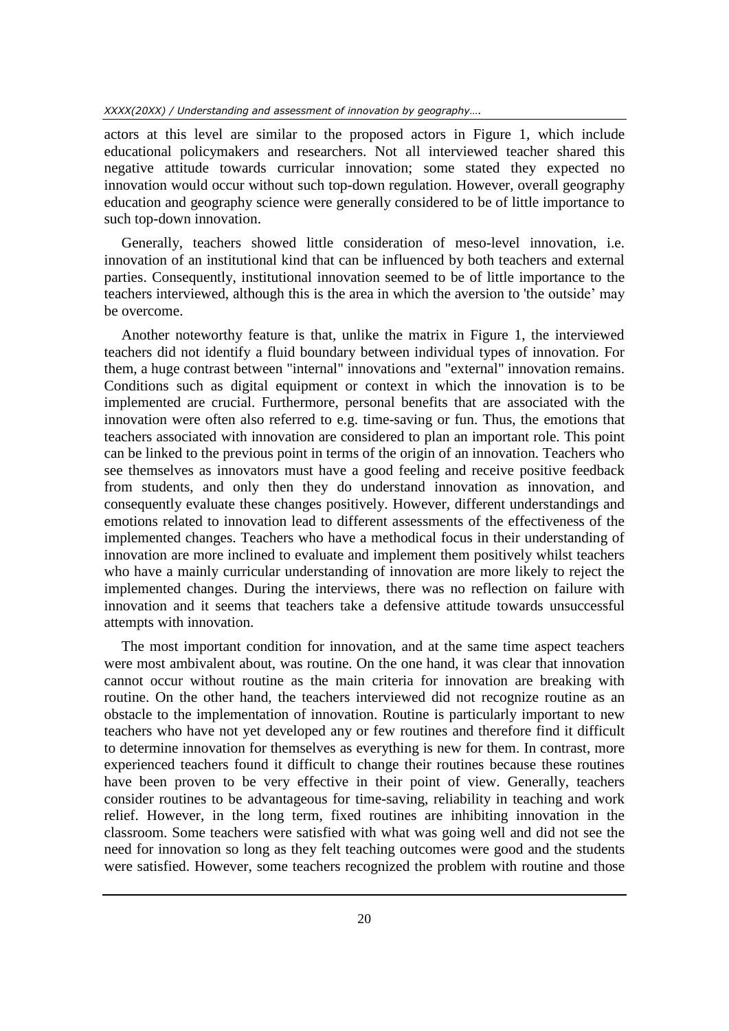actors at this level are similar to the proposed actors in Figure 1, which include educational policymakers and researchers. Not all interviewed teacher shared this negative attitude towards curricular innovation; some stated they expected no innovation would occur without such top-down regulation. However, overall geography education and geography science were generally considered to be of little importance to such top-down innovation.

Generally, teachers showed little consideration of meso-level innovation, i.e. innovation of an institutional kind that can be influenced by both teachers and external parties. Consequently, institutional innovation seemed to be of little importance to the teachers interviewed, although this is the area in which the aversion to 'the outside' may be overcome.

Another noteworthy feature is that, unlike the matrix in Figure 1, the interviewed teachers did not identify a fluid boundary between individual types of innovation. For them, a huge contrast between "internal" innovations and "external" innovation remains. Conditions such as digital equipment or context in which the innovation is to be implemented are crucial. Furthermore, personal benefits that are associated with the innovation were often also referred to e.g. time-saving or fun. Thus, the emotions that teachers associated with innovation are considered to plan an important role. This point can be linked to the previous point in terms of the origin of an innovation. Teachers who see themselves as innovators must have a good feeling and receive positive feedback from students, and only then they do understand innovation as innovation, and consequently evaluate these changes positively. However, different understandings and emotions related to innovation lead to different assessments of the effectiveness of the implemented changes. Teachers who have a methodical focus in their understanding of innovation are more inclined to evaluate and implement them positively whilst teachers who have a mainly curricular understanding of innovation are more likely to reject the implemented changes. During the interviews, there was no reflection on failure with innovation and it seems that teachers take a defensive attitude towards unsuccessful attempts with innovation.

The most important condition for innovation, and at the same time aspect teachers were most ambivalent about, was routine. On the one hand, it was clear that innovation cannot occur without routine as the main criteria for innovation are breaking with routine. On the other hand, the teachers interviewed did not recognize routine as an obstacle to the implementation of innovation. Routine is particularly important to new teachers who have not yet developed any or few routines and therefore find it difficult to determine innovation for themselves as everything is new for them. In contrast, more experienced teachers found it difficult to change their routines because these routines have been proven to be very effective in their point of view. Generally, teachers consider routines to be advantageous for time-saving, reliability in teaching and work relief. However, in the long term, fixed routines are inhibiting innovation in the classroom. Some teachers were satisfied with what was going well and did not see the need for innovation so long as they felt teaching outcomes were good and the students were satisfied. However, some teachers recognized the problem with routine and those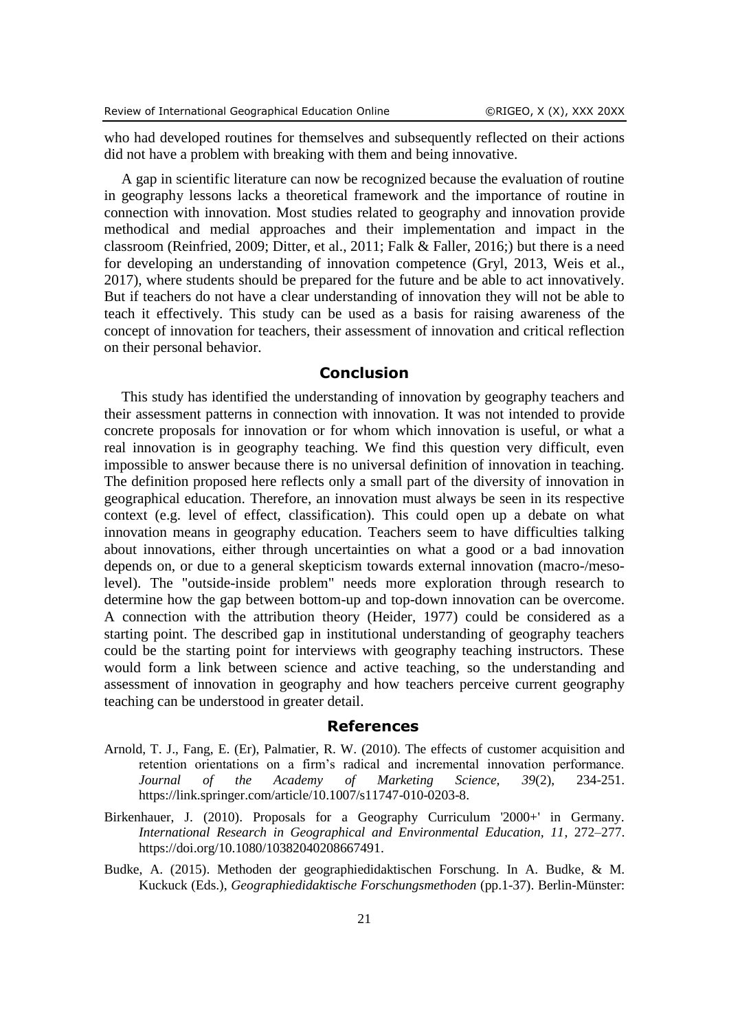who had developed routines for themselves and subsequently reflected on their actions did not have a problem with breaking with them and being innovative.

A gap in scientific literature can now be recognized because the evaluation of routine in geography lessons lacks a theoretical framework and the importance of routine in connection with innovation. Most studies related to geography and innovation provide methodical and medial approaches and their implementation and impact in the classroom (Reinfried, 2009; Ditter, et al., 2011; Falk & Faller, 2016;) but there is a need for developing an understanding of innovation competence (Gryl, 2013, Weis et al., 2017), where students should be prepared for the future and be able to act innovatively. But if teachers do not have a clear understanding of innovation they will not be able to teach it effectively. This study can be used as a basis for raising awareness of the concept of innovation for teachers, their assessment of innovation and critical reflection on their personal behavior.

## **Conclusion**

This study has identified the understanding of innovation by geography teachers and their assessment patterns in connection with innovation. It was not intended to provide concrete proposals for innovation or for whom which innovation is useful, or what a real innovation is in geography teaching. We find this question very difficult, even impossible to answer because there is no universal definition of innovation in teaching. The definition proposed here reflects only a small part of the diversity of innovation in geographical education. Therefore, an innovation must always be seen in its respective context (e.g. level of effect, classification). This could open up a debate on what innovation means in geography education. Teachers seem to have difficulties talking about innovations, either through uncertainties on what a good or a bad innovation depends on, or due to a general skepticism towards external innovation (macro-/mesolevel). The "outside-inside problem" needs more exploration through research to determine how the gap between bottom-up and top-down innovation can be overcome. A connection with the attribution theory (Heider, 1977) could be considered as a starting point. The described gap in institutional understanding of geography teachers could be the starting point for interviews with geography teaching instructors. These would form a link between science and active teaching, so the understanding and assessment of innovation in geography and how teachers perceive current geography teaching can be understood in greater detail.

#### **References**

- Arnold, T. J., Fang, E. (Er), Palmatier, R. W. (2010). The effects of customer acquisition and retention orientations on a firm's radical and incremental innovation performance. *Journal of the Academy of Marketing Science, 39*(2), 234-251. https://link.springer.com/article/10.1007/s11747-010-0203-8.
- Birkenhauer, J. (2010). Proposals for a Geography Curriculum '2000+' in Germany. *International Research in Geographical and Environmental Education, 11*, 272–277. https://doi.org/10.1080/10382040208667491.
- Budke, A. (2015). Methoden der geographiedidaktischen Forschung. In A. Budke, & M. Kuckuck (Eds.), *Geographiedidaktische Forschungsmethoden* (pp.1-37). Berlin-Münster: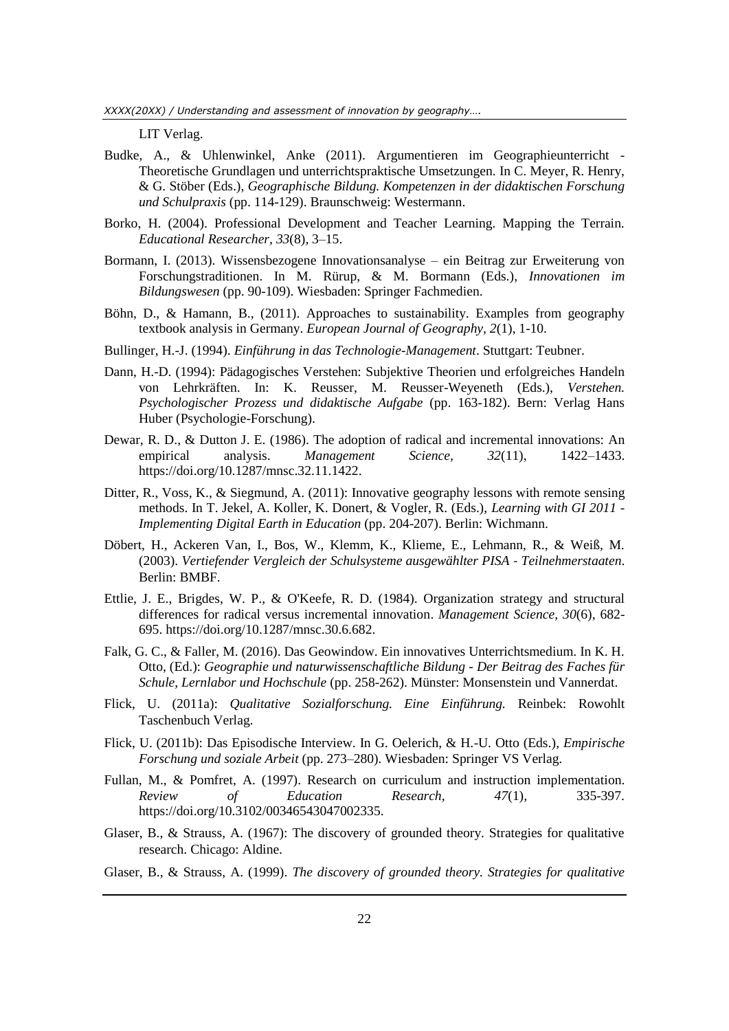LIT Verlag.

- Budke, A., & Uhlenwinkel, Anke (2011). Argumentieren im Geographieunterricht Theoretische Grundlagen und unterrichtspraktische Umsetzungen. In C. Meyer, R. Henry, & G. Stöber (Eds.), *Geographische Bildung. Kompetenzen in der didaktischen Forschung und Schulpraxis* (pp. 114-129). Braunschweig: Westermann.
- Borko, H. (2004). Professional Development and Teacher Learning. Mapping the Terrain. *Educational Researcher, 33*(8)*,* 3–15.
- Bormann, I. (2013). Wissensbezogene Innovationsanalyse ein Beitrag zur Erweiterung von Forschungstraditionen. In M. Rürup, & M. Bormann (Eds.), *Innovationen im Bildungswesen* (pp. 90-109). Wiesbaden: Springer Fachmedien.
- Böhn, D., & Hamann, B., (2011). Approaches to sustainability. Examples from geography textbook analysis in Germany. *European Journal of Geography, 2*(1), 1-10.
- Bullinger, H.-J. (1994). *Einführung in das Technologie-Management*. Stuttgart: Teubner.
- Dann, H.-D. (1994): Pädagogisches Verstehen: Subjektive Theorien und erfolgreiches Handeln von Lehrkräften. In: K. Reusser, M. Reusser-Weyeneth (Eds.), *Verstehen. Psychologischer Prozess und didaktische Aufgabe* (pp. 163-182). Bern: Verlag Hans Huber (Psychologie-Forschung).
- Dewar, R. D., & Dutton J. E. (1986). The adoption of radical and incremental innovations: An empirical analysis. *Management Science, 32*(11), 1422–1433. https://doi.org/10.1287/mnsc.32.11.1422.
- Ditter, R., Voss, K., & Siegmund, A. (2011): Innovative geography lessons with remote sensing methods. In T. Jekel, A. Koller, K. Donert, & Vogler, R. (Eds.), *Learning with GI 2011 - Implementing Digital Earth in Education* (pp. 204-207). Berlin: Wichmann.
- Döbert, H., Ackeren Van, I., Bos, W., Klemm, K., Klieme, E., Lehmann, R., & Weiß, M. (2003). *Vertiefender Vergleich der Schulsysteme ausgewählter PISA ‐ Teilnehmerstaaten*. Berlin: BMBF.
- Ettlie, J. E., Brigdes, W. P., & O'Keefe, R. D. (1984). Organization strategy and structural differences for radical versus incremental innovation. *Management Science, 30*(6), 682- 695. https://doi.org/10.1287/mnsc.30.6.682.
- Falk, G. C., & Faller, M. (2016). Das Geowindow. Ein innovatives Unterrichtsmedium. In K. H. Otto, (Ed.): *Geographie und naturwissenschaftliche Bildung - Der Beitrag des Faches für Schule, Lernlabor und Hochschule* (pp. 258-262). Münster: Monsenstein und Vannerdat.
- Flick, U. (2011a): *Qualitative Sozialforschung. Eine Einführung.* Reinbek: Rowohlt Taschenbuch Verlag.
- Flick, U. (2011b): Das Episodische Interview. In G. Oelerich, & H.-U. Otto (Eds.)*, Empirische Forschung und soziale Arbeit* (pp. 273–280)*.* Wiesbaden: Springer VS Verlag.
- Fullan, M., & Pomfret, A. (1997). Research on curriculum and instruction implementation. *Review of Education Research, 47*(1)*,* 335-397. https://doi.org/10.3102/00346543047002335.
- Glaser, B., & Strauss, A. (1967): The discovery of grounded theory. Strategies for qualitative research. Chicago: Aldine.
- Glaser, B., & Strauss, A. (1999). *The discovery of grounded theory. Strategies for qualitative*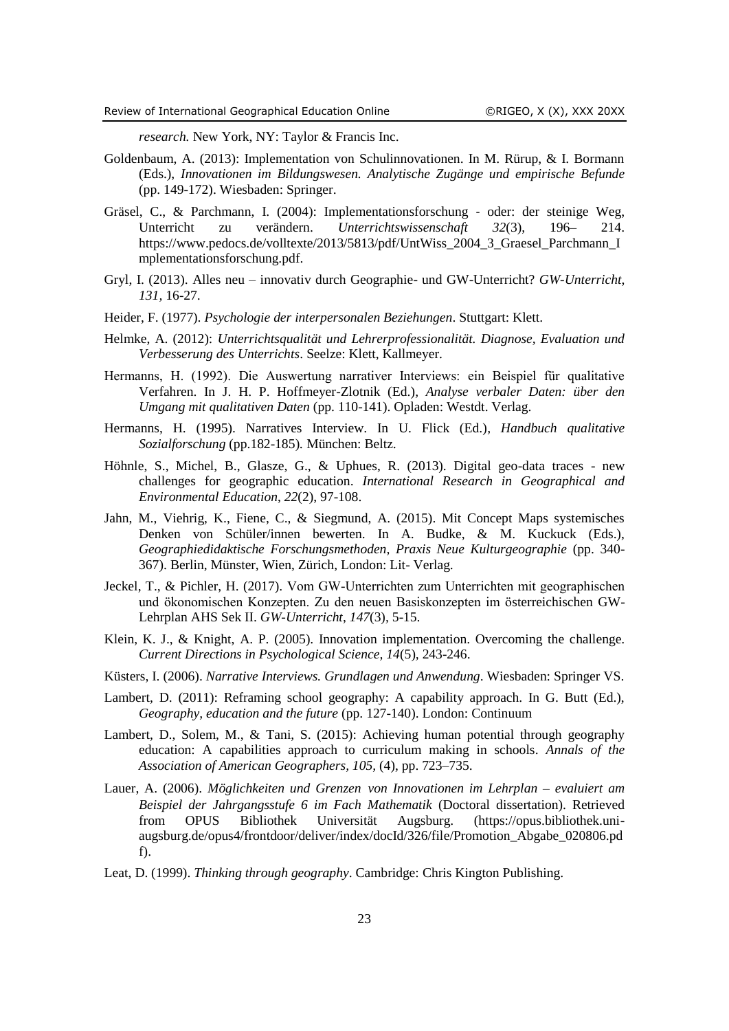*research.* New York, NY: Taylor & Francis Inc.

- Goldenbaum, A. (2013): Implementation von Schulinnovationen. In M. Rürup, & I. Bormann (Eds.), *Innovationen im Bildungswesen. Analytische Zugänge und empirische Befunde* (pp. 149-172). Wiesbaden: Springer.
- Gräsel, C., & Parchmann, I. (2004): Implementationsforschung ‐ oder: der steinige Weg, Unterricht zu verändern. *Unterrichtswissenschaft 32*(3), 196– 214. https://www.pedocs.de/volltexte/2013/5813/pdf/UntWiss\_2004\_3\_Graesel\_Parchmann\_I mplementationsforschung.pdf.
- Gryl, I. (2013). Alles neu innovativ durch Geographie- und GW-Unterricht? *GW-Unterricht*, *131,* 16-27.
- Heider, F. (1977). *Psychologie der interpersonalen Beziehungen*. Stuttgart: Klett.
- Helmke, A. (2012): *Unterrichtsqualität und Lehrerprofessionalität. Diagnose, Evaluation und Verbesserung des Unterrichts*. Seelze: Klett, Kallmeyer.
- Hermanns, H. (1992). Die Auswertung narrativer Interviews: ein Beispiel für qualitative Verfahren. In J. H. P. Hoffmeyer-Zlotnik (Ed.)*, Analyse verbaler Daten: über den Umgang mit qualitativen Daten* (pp. 110-141). Opladen: Westdt. Verlag.
- Hermanns, H. (1995). Narratives Interview. In U. Flick (Ed.)*, Handbuch qualitative Sozialforschung* (pp.182-185)*.* München: Beltz.
- Höhnle, S., Michel, B., Glasze, G., & Uphues, R. (2013). Digital geo-data traces new challenges for geographic education. *International Research in Geographical and Environmental Education*, *22*(2), 97-108.
- Jahn, M., Viehrig, K., Fiene, C., & Siegmund, A. (2015). Mit Concept Maps systemisches Denken von Schüler/innen bewerten. In A. Budke, & M. Kuckuck (Eds.), *Geographiedidaktische Forschungsmethoden, Praxis Neue Kulturgeographie* (pp. 340- 367). Berlin, Münster, Wien, Zürich, London: Lit- Verlag.
- Jeckel, T., & Pichler, H. (2017). Vom GW-Unterrichten zum Unterrichten mit geographischen und ökonomischen Konzepten. Zu den neuen Basiskonzepten im österreichischen GW-Lehrplan AHS Sek II. *GW-Unterricht*, *147*(3)*,* 5-15.
- Klein, K. J., & Knight, A. P. (2005). Innovation implementation. Overcoming the challenge. *Current Directions in Psychological Science, 14*(5)*,* 243-246.
- Küsters, I. (2006). *Narrative Interviews. Grundlagen und Anwendung*. Wiesbaden: Springer VS.
- Lambert, D. (2011): Reframing school geography: A capability approach. In G. Butt (Ed.), *Geography, education and the future* (pp. 127-140). London: Continuum
- Lambert, D., Solem, M., & Tani, S. (2015): Achieving human potential through geography education: A capabilities approach to curriculum making in schools. *Annals of the Association of American Geographers, 105,* (4), pp. 723–735.
- Lauer, A. (2006). *Möglichkeiten und Grenzen von Innovationen im Lehrplan – evaluiert am Beispiel der Jahrgangsstufe 6 im Fach Mathematik* (Doctoral dissertation). Retrieved from OPUS Bibliothek Universität Augsburg. (https://opus.bibliothek.uniaugsburg.de/opus4/frontdoor/deliver/index/docId/326/file/Promotion\_Abgabe\_020806.pd f).
- Leat, D. (1999). *Thinking through geography*. Cambridge: Chris Kington Publishing.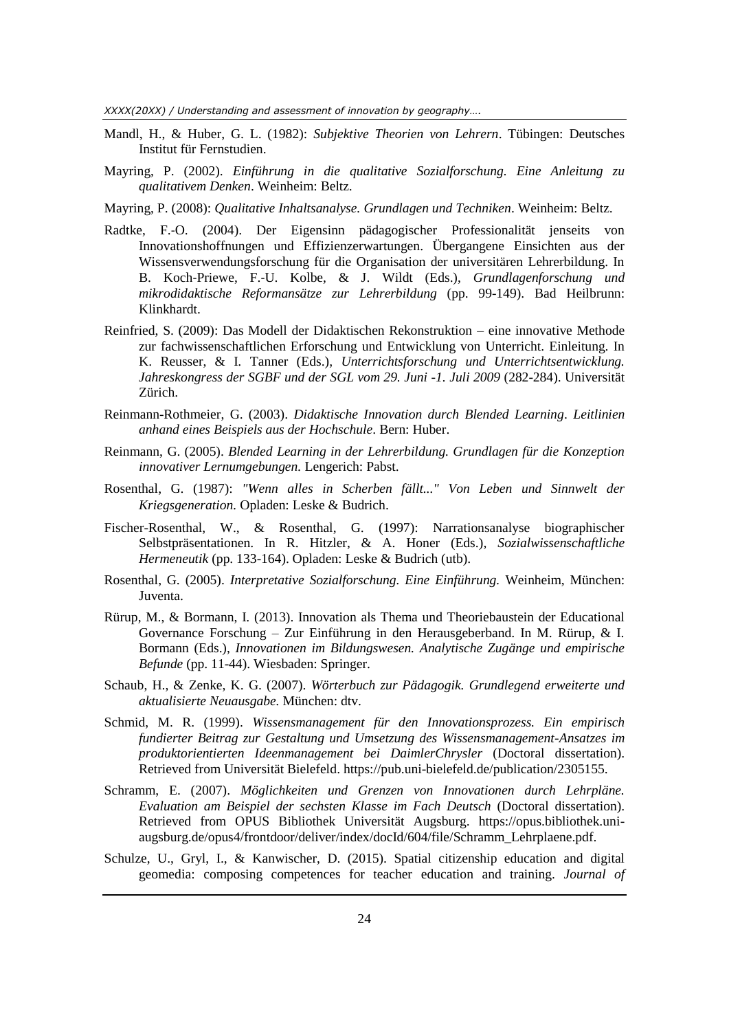*XXXX(20XX) / Understanding and assessment of innovation by geography….*

- Mandl, H., & Huber, G. L. (1982): *Subjektive Theorien von Lehrern*. Tübingen: Deutsches Institut für Fernstudien.
- Mayring, P. (2002). *Einführung in die qualitative Sozialforschung. Eine Anleitung zu qualitativem Denken*. Weinheim: Beltz.
- Mayring, P. (2008): *Qualitative Inhaltsanalyse. Grundlagen und Techniken*. Weinheim: Beltz.
- Radtke, F.‐O. (2004). Der Eigensinn pädagogischer Professionalität jenseits von Innovationshoffnungen und Effizienzerwartungen. Übergangene Einsichten aus der Wissensverwendungsforschung für die Organisation der universitären Lehrerbildung. In B. Koch‐Priewe, F.‐U. Kolbe, & J. Wildt (Eds.), *Grundlagenforschung und mikrodidaktische Reformansätze zur Lehrerbildung* (pp. 99-149). Bad Heilbrunn: Klinkhardt.
- Reinfried, S. (2009): Das Modell der Didaktischen Rekonstruktion eine innovative Methode zur fachwissenschaftlichen Erforschung und Entwicklung von Unterricht. Einleitung. In K. Reusser, & I. Tanner (Eds.)*, Unterrichtsforschung und Unterrichtsentwicklung. Jahreskongress der SGBF und der SGL vom 29. Juni -1. Juli 2009* (282-284). Universität Zürich.
- Reinmann-Rothmeier, G. (2003). *Didaktische Innovation durch Blended Learning*. *Leitlinien anhand eines Beispiels aus der Hochschule*. Bern: Huber.
- Reinmann, G. (2005). *Blended Learning in der Lehrerbildung. Grundlagen für die Konzeption innovativer Lernumgebungen.* Lengerich: Pabst.
- Rosenthal, G. (1987): *"Wenn alles in Scherben fällt..." Von Leben und Sinnwelt der Kriegsgeneration.* Opladen: Leske & Budrich.
- Fischer-Rosenthal, W., & Rosenthal, G. (1997): Narrationsanalyse biographischer Selbstpräsentationen. In R. Hitzler, & A. Honer (Eds.)*, Sozialwissenschaftliche Hermeneutik* (pp. 133-164). Opladen: Leske & Budrich (utb).
- Rosenthal, G. (2005). *Interpretative Sozialforschung. Eine Einführung.* Weinheim, München: Juventa.
- Rürup, M., & Bormann, I. (2013). Innovation als Thema und Theoriebaustein der Educational Governance Forschung – Zur Einführung in den Herausgeberband. In M. Rürup, & I. Bormann (Eds.), *Innovationen im Bildungswesen. Analytische Zugänge und empirische Befunde* (pp. 11-44). Wiesbaden: Springer.
- Schaub, H., & Zenke, K. G. (2007). *Wörterbuch zur Pädagogik. Grundlegend erweiterte und aktualisierte Neuausgabe.* München: dtv.
- Schmid, M. R. (1999). *Wissensmanagement für den Innovationsprozess. Ein empirisch fundierter Beitrag zur Gestaltung und Umsetzung des Wissensmanagement-Ansatzes im produktorientierten Ideenmanagement bei DaimlerChrysler* (Doctoral dissertation). Retrieved from Universität Bielefeld. https://pub.uni-bielefeld.de/publication/2305155.
- Schramm, E. (2007). *Möglichkeiten und Grenzen von Innovationen durch Lehrpläne. Evaluation am Beispiel der sechsten Klasse im Fach Deutsch* (Doctoral dissertation). Retrieved from OPUS Bibliothek Universität Augsburg. https://opus.bibliothek.uniaugsburg.de/opus4/frontdoor/deliver/index/docId/604/file/Schramm\_Lehrplaene.pdf.
- Schulze, U., Gryl, I., & Kanwischer, D. (2015). Spatial citizenship education and digital geomedia: composing competences for teacher education and training. *Journal of*